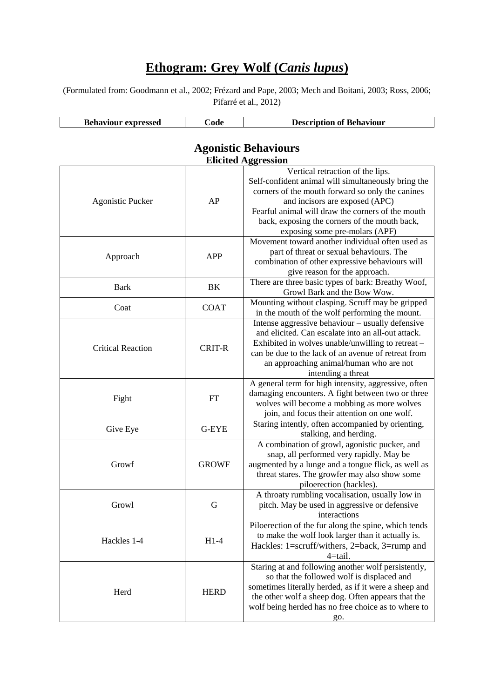## **Ethogram: Grey Wolf (***Canis lupus***)**

(Formulated from: Goodmann et al., 2002; Frézard and Pape, 2003; Mech and Boitani, 2003; Ross, 2006; Pifarré et al., 2012)

| <b>Behaviour</b><br>' expressed | nda | <b>Description of Behaviour</b> |
|---------------------------------|-----|---------------------------------|

| <b>Agonistic Behaviours</b> |               |                                                                                                                                                                                                                                                                                                                       |  |
|-----------------------------|---------------|-----------------------------------------------------------------------------------------------------------------------------------------------------------------------------------------------------------------------------------------------------------------------------------------------------------------------|--|
| <b>Elicited Aggression</b>  |               |                                                                                                                                                                                                                                                                                                                       |  |
| <b>Agonistic Pucker</b>     | AP            | Vertical retraction of the lips.<br>Self-confident animal will simultaneously bring the<br>corners of the mouth forward so only the canines<br>and incisors are exposed (APC)<br>Fearful animal will draw the corners of the mouth<br>back, exposing the corners of the mouth back,<br>exposing some pre-molars (APF) |  |
| Approach                    | <b>APP</b>    | Movement toward another individual often used as<br>part of threat or sexual behaviours. The<br>combination of other expressive behaviours will<br>give reason for the approach.                                                                                                                                      |  |
| <b>Bark</b>                 | BK            | There are three basic types of bark: Breathy Woof,<br>Growl Bark and the Bow Wow.                                                                                                                                                                                                                                     |  |
| Coat                        | <b>COAT</b>   | Mounting without clasping. Scruff may be gripped<br>in the mouth of the wolf performing the mount.                                                                                                                                                                                                                    |  |
| <b>Critical Reaction</b>    | <b>CRIT-R</b> | Intense aggressive behaviour - usually defensive<br>and elicited. Can escalate into an all-out attack.<br>Exhibited in wolves unable/unwilling to retreat –<br>can be due to the lack of an avenue of retreat from<br>an approaching animal/human who are not<br>intending a threat                                   |  |
| Fight                       | <b>FT</b>     | A general term for high intensity, aggressive, often<br>damaging encounters. A fight between two or three<br>wolves will become a mobbing as more wolves<br>join, and focus their attention on one wolf.                                                                                                              |  |
| Give Eye                    | G-EYE         | Staring intently, often accompanied by orienting,<br>stalking, and herding.                                                                                                                                                                                                                                           |  |
| Growf                       | <b>GROWF</b>  | A combination of growl, agonistic pucker, and<br>snap, all performed very rapidly. May be<br>augmented by a lunge and a tongue flick, as well as<br>threat stares. The growfer may also show some<br>piloerection (hackles).                                                                                          |  |
| Growl                       | G             | A throaty rumbling vocalisation, usually low in<br>pitch. May be used in aggressive or defensive<br>interactions                                                                                                                                                                                                      |  |
| Hackles 1-4                 | $H1-4$        | Piloerection of the fur along the spine, which tends<br>to make the wolf look larger than it actually is.<br>Hackles: 1=scruff/withers, 2=back, 3=rump and<br>4=tail.                                                                                                                                                 |  |
| Herd                        | <b>HERD</b>   | Staring at and following another wolf persistently,<br>so that the followed wolf is displaced and<br>sometimes literally herded, as if it were a sheep and<br>the other wolf a sheep dog. Often appears that the<br>wolf being herded has no free choice as to where to<br>go.                                        |  |

## **Agonistic Behaviours**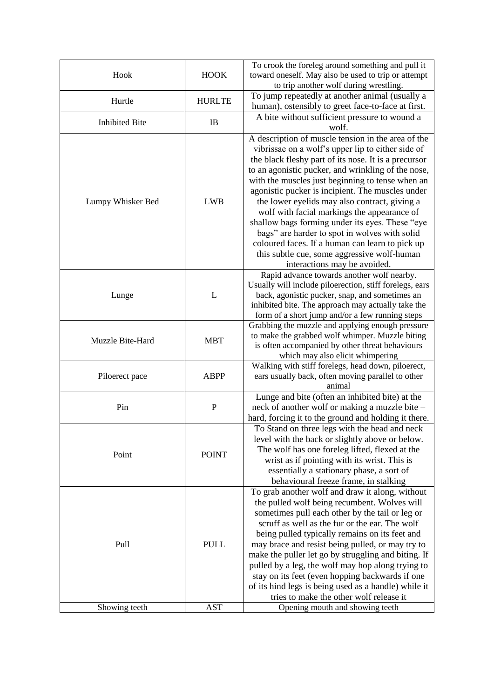| Hook                  | <b>HOOK</b>   | To crook the foreleg around something and pull it<br>toward oneself. May also be used to trip or attempt<br>to trip another wolf during wrestling.                                                                                                                                                                                                                                                                                                                                                                                                                                                                                                                  |
|-----------------------|---------------|---------------------------------------------------------------------------------------------------------------------------------------------------------------------------------------------------------------------------------------------------------------------------------------------------------------------------------------------------------------------------------------------------------------------------------------------------------------------------------------------------------------------------------------------------------------------------------------------------------------------------------------------------------------------|
| Hurtle                | <b>HURLTE</b> | To jump repeatedly at another animal (usually a<br>human), ostensibly to greet face-to-face at first.                                                                                                                                                                                                                                                                                                                                                                                                                                                                                                                                                               |
| <b>Inhibited Bite</b> | IB            | A bite without sufficient pressure to wound a<br>wolf.                                                                                                                                                                                                                                                                                                                                                                                                                                                                                                                                                                                                              |
| Lumpy Whisker Bed     | <b>LWB</b>    | A description of muscle tension in the area of the<br>vibrissae on a wolf's upper lip to either side of<br>the black fleshy part of its nose. It is a precursor<br>to an agonistic pucker, and wrinkling of the nose,<br>with the muscles just beginning to tense when an<br>agonistic pucker is incipient. The muscles under<br>the lower eyelids may also contract, giving a<br>wolf with facial markings the appearance of<br>shallow bags forming under its eyes. These "eye<br>bags" are harder to spot in wolves with solid<br>coloured faces. If a human can learn to pick up<br>this subtle cue, some aggressive wolf-human<br>interactions may be avoided. |
| Lunge                 | L             | Rapid advance towards another wolf nearby.<br>Usually will include piloerection, stiff forelegs, ears<br>back, agonistic pucker, snap, and sometimes an<br>inhibited bite. The approach may actually take the<br>form of a short jump and/or a few running steps                                                                                                                                                                                                                                                                                                                                                                                                    |
| Muzzle Bite-Hard      | <b>MBT</b>    | Grabbing the muzzle and applying enough pressure<br>to make the grabbed wolf whimper. Muzzle biting<br>is often accompanied by other threat behaviours<br>which may also elicit whimpering                                                                                                                                                                                                                                                                                                                                                                                                                                                                          |
| Piloerect pace        | <b>ABPP</b>   | Walking with stiff forelegs, head down, piloerect,<br>ears usually back, often moving parallel to other<br>animal                                                                                                                                                                                                                                                                                                                                                                                                                                                                                                                                                   |
| Pin                   | $\mathbf P$   | Lunge and bite (often an inhibited bite) at the<br>neck of another wolf or making a muzzle bite -<br>hard, forcing it to the ground and holding it there.                                                                                                                                                                                                                                                                                                                                                                                                                                                                                                           |
| Point                 | <b>POINT</b>  | To Stand on three legs with the head and neck<br>level with the back or slightly above or below.<br>The wolf has one foreleg lifted, flexed at the<br>wrist as if pointing with its wrist. This is<br>essentially a stationary phase, a sort of<br>behavioural freeze frame, in stalking<br>To grab another wolf and draw it along, without<br>the pulled wolf being recumbent. Wolves will<br>sometimes pull each other by the tail or leg or<br>scruff as well as the fur or the ear. The wolf                                                                                                                                                                    |
| Pull                  | <b>PULL</b>   | being pulled typically remains on its feet and<br>may brace and resist being pulled, or may try to<br>make the puller let go by struggling and biting. If<br>pulled by a leg, the wolf may hop along trying to<br>stay on its feet (even hopping backwards if one<br>of its hind legs is being used as a handle) while it<br>tries to make the other wolf release it                                                                                                                                                                                                                                                                                                |
| Showing teeth         | <b>AST</b>    | Opening mouth and showing teeth                                                                                                                                                                                                                                                                                                                                                                                                                                                                                                                                                                                                                                     |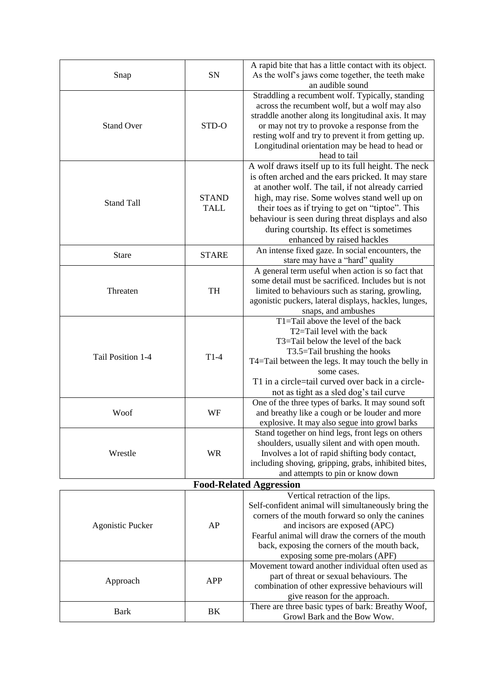| Snap                           | SN                          | A rapid bite that has a little contact with its object.<br>As the wolf's jaws come together, the teeth make<br>an audible sound                                                                                                                                                                                                                                                                    |  |
|--------------------------------|-----------------------------|----------------------------------------------------------------------------------------------------------------------------------------------------------------------------------------------------------------------------------------------------------------------------------------------------------------------------------------------------------------------------------------------------|--|
| <b>Stand Over</b>              | STD-O                       | Straddling a recumbent wolf. Typically, standing<br>across the recumbent wolf, but a wolf may also<br>straddle another along its longitudinal axis. It may<br>or may not try to provoke a response from the<br>resting wolf and try to prevent it from getting up.<br>Longitudinal orientation may be head to head or<br>head to tail                                                              |  |
| <b>Stand Tall</b>              | <b>STAND</b><br><b>TALL</b> | A wolf draws itself up to its full height. The neck<br>is often arched and the ears pricked. It may stare<br>at another wolf. The tail, if not already carried<br>high, may rise. Some wolves stand well up on<br>their toes as if trying to get on "tiptoe". This<br>behaviour is seen during threat displays and also<br>during courtship. Its effect is sometimes<br>enhanced by raised hackles |  |
| <b>Stare</b>                   | <b>STARE</b>                | An intense fixed gaze. In social encounters, the<br>stare may have a "hard" quality                                                                                                                                                                                                                                                                                                                |  |
| Threaten                       | <b>TH</b>                   | A general term useful when action is so fact that<br>some detail must be sacrificed. Includes but is not<br>limited to behaviours such as staring, growling,<br>agonistic puckers, lateral displays, hackles, lunges,<br>snaps, and ambushes                                                                                                                                                       |  |
| Tail Position 1-4              | $T1-4$                      | T1=Tail above the level of the back<br>T2=Tail level with the back<br>T3=Tail below the level of the back<br>T3.5=Tail brushing the hooks<br>T4=Tail between the legs. It may touch the belly in<br>some cases.<br>T1 in a circle=tail curved over back in a circle-<br>not as tight as a sled dog's tail curve                                                                                    |  |
| Woof                           | WF                          | One of the three types of barks. It may sound soft<br>and breathy like a cough or be louder and more<br>explosive. It may also segue into growl barks                                                                                                                                                                                                                                              |  |
| Wrestle                        | <b>WR</b>                   | Stand together on hind legs, front legs on others<br>shoulders, usually silent and with open mouth.<br>Involves a lot of rapid shifting body contact,<br>including shoving, gripping, grabs, inhibited bites,<br>and attempts to pin or know down                                                                                                                                                  |  |
| <b>Food-Related Aggression</b> |                             |                                                                                                                                                                                                                                                                                                                                                                                                    |  |
| <b>Agonistic Pucker</b>        | AP                          | Vertical retraction of the lips.<br>Self-confident animal will simultaneously bring the<br>corners of the mouth forward so only the canines<br>and incisors are exposed (APC)<br>Fearful animal will draw the corners of the mouth<br>back, exposing the corners of the mouth back,<br>exposing some pre-molars (APF)                                                                              |  |
| Approach                       | <b>APP</b>                  | Movement toward another individual often used as<br>part of threat or sexual behaviours. The<br>combination of other expressive behaviours will<br>give reason for the approach.                                                                                                                                                                                                                   |  |
| <b>Bark</b>                    | BK                          | There are three basic types of bark: Breathy Woof,<br>Growl Bark and the Bow Wow.                                                                                                                                                                                                                                                                                                                  |  |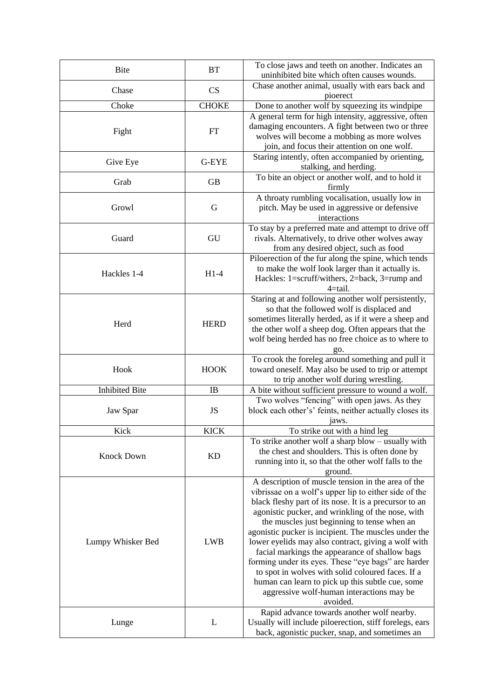| <b>Bite</b>           | <b>BT</b>    | To close jaws and teeth on another. Indicates an<br>uninhibited bite which often causes wounds.                                                                                                                                                                                                                                                                                                                                                                                                                                                                                                                                                                                                                   |
|-----------------------|--------------|-------------------------------------------------------------------------------------------------------------------------------------------------------------------------------------------------------------------------------------------------------------------------------------------------------------------------------------------------------------------------------------------------------------------------------------------------------------------------------------------------------------------------------------------------------------------------------------------------------------------------------------------------------------------------------------------------------------------|
| Chase                 | CS           | Chase another animal, usually with ears back and<br>pioerect                                                                                                                                                                                                                                                                                                                                                                                                                                                                                                                                                                                                                                                      |
| Choke                 | <b>CHOKE</b> | Done to another wolf by squeezing its windpipe                                                                                                                                                                                                                                                                                                                                                                                                                                                                                                                                                                                                                                                                    |
| Fight                 | <b>FT</b>    | A general term for high intensity, aggressive, often<br>damaging encounters. A fight between two or three<br>wolves will become a mobbing as more wolves<br>join, and focus their attention on one wolf.                                                                                                                                                                                                                                                                                                                                                                                                                                                                                                          |
| Give Eye              | G-EYE        | Staring intently, often accompanied by orienting,<br>stalking, and herding.                                                                                                                                                                                                                                                                                                                                                                                                                                                                                                                                                                                                                                       |
| Grab                  | <b>GB</b>    | To bite an object or another wolf, and to hold it<br>firmly                                                                                                                                                                                                                                                                                                                                                                                                                                                                                                                                                                                                                                                       |
| Growl                 | G            | A throaty rumbling vocalisation, usually low in<br>pitch. May be used in aggressive or defensive<br>interactions                                                                                                                                                                                                                                                                                                                                                                                                                                                                                                                                                                                                  |
| Guard                 | GU           | To stay by a preferred mate and attempt to drive off<br>rivals. Alternatively, to drive other wolves away<br>from any desired object, such as food                                                                                                                                                                                                                                                                                                                                                                                                                                                                                                                                                                |
| Hackles 1-4           | $H1-4$       | Piloerection of the fur along the spine, which tends<br>to make the wolf look larger than it actually is.<br>Hackles: 1=scruff/withers, 2=back, 3=rump and<br>4=tail.                                                                                                                                                                                                                                                                                                                                                                                                                                                                                                                                             |
| Herd                  | <b>HERD</b>  | Staring at and following another wolf persistently,<br>so that the followed wolf is displaced and<br>sometimes literally herded, as if it were a sheep and<br>the other wolf a sheep dog. Often appears that the<br>wolf being herded has no free choice as to where to<br>go.                                                                                                                                                                                                                                                                                                                                                                                                                                    |
| Hook                  | <b>HOOK</b>  | To crook the foreleg around something and pull it<br>toward oneself. May also be used to trip or attempt<br>to trip another wolf during wrestling.                                                                                                                                                                                                                                                                                                                                                                                                                                                                                                                                                                |
| <b>Inhibited Bite</b> | <b>IB</b>    | A bite without sufficient pressure to wound a wolf.                                                                                                                                                                                                                                                                                                                                                                                                                                                                                                                                                                                                                                                               |
| Jaw Spar              | JS           | Two wolves "fencing" with open jaws. As they<br>block each other's' feints, neither actually closes its<br>jaws.                                                                                                                                                                                                                                                                                                                                                                                                                                                                                                                                                                                                  |
| Kick                  | <b>KICK</b>  | To strike out with a hind leg                                                                                                                                                                                                                                                                                                                                                                                                                                                                                                                                                                                                                                                                                     |
| <b>Knock Down</b>     | <b>KD</b>    | To strike another wolf a sharp blow – usually with<br>the chest and shoulders. This is often done by<br>running into it, so that the other wolf falls to the<br>ground.                                                                                                                                                                                                                                                                                                                                                                                                                                                                                                                                           |
| Lumpy Whisker Bed     | <b>LWB</b>   | A description of muscle tension in the area of the<br>vibrissae on a wolf's upper lip to either side of the<br>black fleshy part of its nose. It is a precursor to an<br>agonistic pucker, and wrinkling of the nose, with<br>the muscles just beginning to tense when an<br>agonistic pucker is incipient. The muscles under the<br>lower eyelids may also contract, giving a wolf with<br>facial markings the appearance of shallow bags<br>forming under its eyes. These "eye bags" are harder<br>to spot in wolves with solid coloured faces. If a<br>human can learn to pick up this subtle cue, some<br>aggressive wolf-human interactions may be<br>avoided.<br>Rapid advance towards another wolf nearby. |
| Lunge                 | L            | Usually will include piloerection, stiff forelegs, ears<br>back, agonistic pucker, snap, and sometimes an                                                                                                                                                                                                                                                                                                                                                                                                                                                                                                                                                                                                         |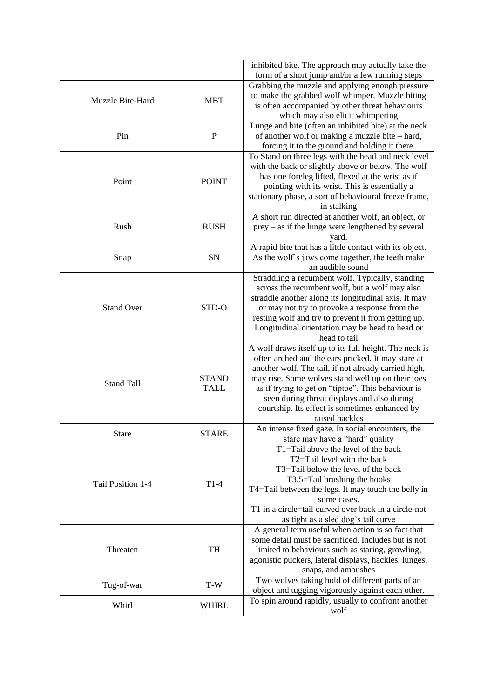|                   |              | inhibited bite. The approach may actually take the                                                   |
|-------------------|--------------|------------------------------------------------------------------------------------------------------|
|                   |              | form of a short jump and/or a few running steps                                                      |
|                   |              | Grabbing the muzzle and applying enough pressure                                                     |
| Muzzle Bite-Hard  | <b>MBT</b>   | to make the grabbed wolf whimper. Muzzle biting                                                      |
|                   |              | is often accompanied by other threat behaviours                                                      |
|                   |              | which may also elicit whimpering                                                                     |
|                   |              | Lunge and bite (often an inhibited bite) at the neck                                                 |
| Pin               | $\mathbf{P}$ | of another wolf or making a muzzle bite - hard,                                                      |
|                   |              | forcing it to the ground and holding it there.                                                       |
|                   |              | To Stand on three legs with the head and neck level                                                  |
|                   |              | with the back or slightly above or below. The wolf                                                   |
| Point             | <b>POINT</b> | has one foreleg lifted, flexed at the wrist as if                                                    |
|                   |              | pointing with its wrist. This is essentially a                                                       |
|                   |              | stationary phase, a sort of behavioural freeze frame,                                                |
|                   |              | in stalking<br>A short run directed at another wolf, an object, or                                   |
| Rush              | <b>RUSH</b>  | $prey - as$ if the lunge were lengthened by several                                                  |
|                   |              | yard.                                                                                                |
|                   |              | A rapid bite that has a little contact with its object.                                              |
| Snap              | SN           | As the wolf's jaws come together, the teeth make                                                     |
|                   |              | an audible sound                                                                                     |
|                   |              | Straddling a recumbent wolf. Typically, standing                                                     |
|                   |              | across the recumbent wolf, but a wolf may also                                                       |
|                   |              | straddle another along its longitudinal axis. It may                                                 |
| <b>Stand Over</b> | STD-O        | or may not try to provoke a response from the                                                        |
|                   |              | resting wolf and try to prevent it from getting up.                                                  |
|                   |              | Longitudinal orientation may be head to head or                                                      |
|                   |              | head to tail                                                                                         |
|                   |              | A wolf draws itself up to its full height. The neck is                                               |
|                   |              | often arched and the ears pricked. It may stare at                                                   |
|                   |              | another wolf. The tail, if not already carried high,                                                 |
|                   | <b>STAND</b> | may rise. Some wolves stand well up on their toes                                                    |
| <b>Stand Tall</b> | <b>TALL</b>  | as if trying to get on "tiptoe". This behaviour is                                                   |
|                   |              | seen during threat displays and also during                                                          |
|                   |              | courtship. Its effect is sometimes enhanced by                                                       |
|                   |              | raised hackles                                                                                       |
| <b>Stare</b>      | <b>STARE</b> | An intense fixed gaze. In social encounters, the                                                     |
|                   |              | stare may have a "hard" quality                                                                      |
|                   |              | T1=Tail above the level of the back                                                                  |
|                   |              | T2=Tail level with the back                                                                          |
|                   |              | T3=Tail below the level of the back                                                                  |
| Tail Position 1-4 | $T1-4$       | T3.5=Tail brushing the hooks                                                                         |
|                   |              | T4=Tail between the legs. It may touch the belly in                                                  |
|                   |              | some cases.                                                                                          |
|                   |              | T1 in a circle=tail curved over back in a circle-not                                                 |
|                   |              | as tight as a sled dog's tail curve                                                                  |
|                   |              | A general term useful when action is so fact that                                                    |
|                   |              | some detail must be sacrificed. Includes but is not                                                  |
| Threaten          | TH           | limited to behaviours such as staring, growling,                                                     |
|                   |              | agonistic puckers, lateral displays, hackles, lunges,                                                |
|                   |              | snaps, and ambushes                                                                                  |
| Tug-of-war        | $T-W$        | Two wolves taking hold of different parts of an<br>object and tugging vigorously against each other. |
|                   |              | To spin around rapidly, usually to confront another                                                  |
| Whirl             | <b>WHIRL</b> | wolf                                                                                                 |
|                   |              |                                                                                                      |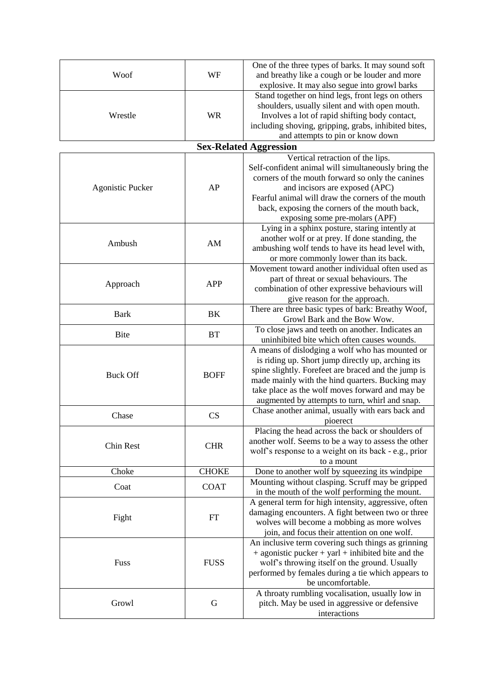|                         | WF           | One of the three types of barks. It may sound soft       |
|-------------------------|--------------|----------------------------------------------------------|
| Woof                    |              | and breathy like a cough or be louder and more           |
|                         |              | explosive. It may also segue into growl barks            |
|                         |              | Stand together on hind legs, front legs on others        |
|                         |              | shoulders, usually silent and with open mouth.           |
| Wrestle                 | <b>WR</b>    | Involves a lot of rapid shifting body contact,           |
|                         |              | including shoving, gripping, grabs, inhibited bites,     |
|                         |              | and attempts to pin or know down                         |
|                         |              | <b>Sex-Related Aggression</b>                            |
|                         |              | Vertical retraction of the lips.                         |
|                         |              | Self-confident animal will simultaneously bring the      |
|                         |              | corners of the mouth forward so only the canines         |
| <b>Agonistic Pucker</b> | AP           | and incisors are exposed (APC)                           |
|                         |              | Fearful animal will draw the corners of the mouth        |
|                         |              | back, exposing the corners of the mouth back,            |
|                         |              | exposing some pre-molars (APF)                           |
|                         |              | Lying in a sphinx posture, staring intently at           |
| Ambush                  | AM           | another wolf or at prey. If done standing, the           |
|                         |              | ambushing wolf tends to have its head level with,        |
|                         |              | or more commonly lower than its back.                    |
|                         |              | Movement toward another individual often used as         |
|                         |              | part of threat or sexual behaviours. The                 |
| Approach                | <b>APP</b>   | combination of other expressive behaviours will          |
|                         |              | give reason for the approach.                            |
|                         |              | There are three basic types of bark: Breathy Woof,       |
| <b>Bark</b>             | BK           | Growl Bark and the Bow Wow.                              |
|                         |              | To close jaws and teeth on another. Indicates an         |
| <b>Bite</b>             | <b>BT</b>    | uninhibited bite which often causes wounds.              |
|                         |              | A means of dislodging a wolf who has mounted or          |
|                         |              | is riding up. Short jump directly up, arching its        |
|                         |              | spine slightly. Forefeet are braced and the jump is      |
| <b>Buck Off</b>         | <b>BOFF</b>  | made mainly with the hind quarters. Bucking may          |
|                         |              | take place as the wolf moves forward and may be          |
|                         |              | augmented by attempts to turn, whirl and snap.           |
|                         |              | Chase another animal, usually with ears back and         |
| Chase                   | CS           | pioerect                                                 |
|                         |              | Placing the head across the back or shoulders of         |
|                         |              | another wolf. Seems to be a way to assess the other      |
| Chin Rest               | <b>CHR</b>   | wolf's response to a weight on its back - e.g., prior    |
|                         |              | to a mount                                               |
| Choke                   | <b>CHOKE</b> | Done to another wolf by squeezing its windpipe           |
|                         |              | Mounting without clasping. Scruff may be gripped         |
| Coat                    | <b>COAT</b>  | in the mouth of the wolf performing the mount.           |
|                         |              | A general term for high intensity, aggressive, often     |
| Fight                   |              | damaging encounters. A fight between two or three        |
|                         | FT           | wolves will become a mobbing as more wolves              |
|                         |              | join, and focus their attention on one wolf.             |
|                         |              | An inclusive term covering such things as grinning       |
| Fuss                    |              | $+$ agonistic pucker $+$ yarl $+$ inhibited bite and the |
|                         | <b>FUSS</b>  | wolf's throwing itself on the ground. Usually            |
|                         |              | performed by females during a tie which appears to       |
|                         |              | be uncomfortable.                                        |
|                         |              | A throaty rumbling vocalisation, usually low in          |
| Growl                   | G            | pitch. May be used in aggressive or defensive            |
|                         |              | interactions                                             |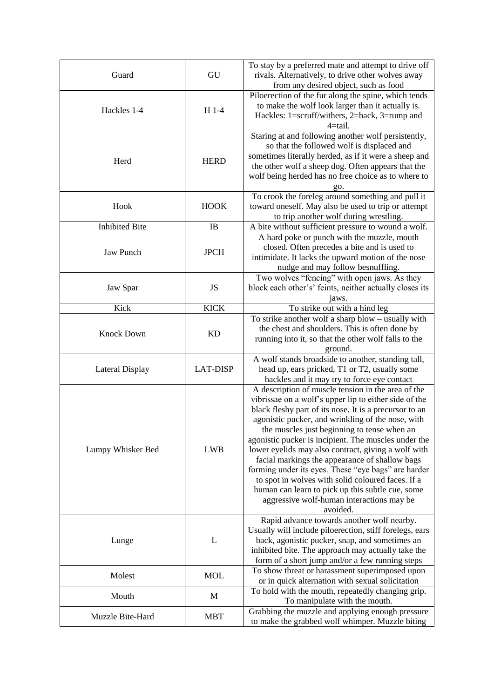| Guard                 | GU              | To stay by a preferred mate and attempt to drive off<br>rivals. Alternatively, to drive other wolves away<br>from any desired object, such as food                                                                                                                                                                                                                                                                                                                                                                                                                                                                                                                  |
|-----------------------|-----------------|---------------------------------------------------------------------------------------------------------------------------------------------------------------------------------------------------------------------------------------------------------------------------------------------------------------------------------------------------------------------------------------------------------------------------------------------------------------------------------------------------------------------------------------------------------------------------------------------------------------------------------------------------------------------|
| Hackles 1-4           | $H$ 1-4         | Piloerection of the fur along the spine, which tends<br>to make the wolf look larger than it actually is.<br>Hackles: 1=scruff/withers, 2=back, 3=rump and<br>4=tail.                                                                                                                                                                                                                                                                                                                                                                                                                                                                                               |
| Herd                  | <b>HERD</b>     | Staring at and following another wolf persistently,<br>so that the followed wolf is displaced and<br>sometimes literally herded, as if it were a sheep and<br>the other wolf a sheep dog. Often appears that the<br>wolf being herded has no free choice as to where to<br>go.                                                                                                                                                                                                                                                                                                                                                                                      |
| Hook                  | <b>HOOK</b>     | To crook the foreleg around something and pull it<br>toward oneself. May also be used to trip or attempt<br>to trip another wolf during wrestling.                                                                                                                                                                                                                                                                                                                                                                                                                                                                                                                  |
| <b>Inhibited Bite</b> | <b>IB</b>       | A bite without sufficient pressure to wound a wolf.                                                                                                                                                                                                                                                                                                                                                                                                                                                                                                                                                                                                                 |
| <b>Jaw Punch</b>      | <b>JPCH</b>     | A hard poke or punch with the muzzle, mouth<br>closed. Often precedes a bite and is used to<br>intimidate. It lacks the upward motion of the nose<br>nudge and may follow besnuffling.                                                                                                                                                                                                                                                                                                                                                                                                                                                                              |
| Jaw Spar              | JS              | Two wolves "fencing" with open jaws. As they<br>block each other's' feints, neither actually closes its<br>jaws.                                                                                                                                                                                                                                                                                                                                                                                                                                                                                                                                                    |
| Kick                  | <b>KICK</b>     | To strike out with a hind leg                                                                                                                                                                                                                                                                                                                                                                                                                                                                                                                                                                                                                                       |
| <b>Knock Down</b>     | KD              | To strike another wolf a sharp blow – usually with<br>the chest and shoulders. This is often done by<br>running into it, so that the other wolf falls to the<br>ground.                                                                                                                                                                                                                                                                                                                                                                                                                                                                                             |
| Lateral Display       | <b>LAT-DISP</b> | A wolf stands broadside to another, standing tall,<br>head up, ears pricked, T1 or T2, usually some<br>hackles and it may try to force eye contact                                                                                                                                                                                                                                                                                                                                                                                                                                                                                                                  |
| Lumpy Whisker Bed     | <b>LWB</b>      | A description of muscle tension in the area of the<br>vibrissae on a wolf's upper lip to either side of the<br>black fleshy part of its nose. It is a precursor to an<br>agonistic pucker, and wrinkling of the nose, with<br>the muscles just beginning to tense when an<br>agonistic pucker is incipient. The muscles under the<br>lower eyelids may also contract, giving a wolf with<br>facial markings the appearance of shallow bags<br>forming under its eyes. These "eye bags" are harder<br>to spot in wolves with solid coloured faces. If a<br>human can learn to pick up this subtle cue, some<br>aggressive wolf-human interactions may be<br>avoided. |
| Lunge                 | L               | Rapid advance towards another wolf nearby.<br>Usually will include piloerection, stiff forelegs, ears<br>back, agonistic pucker, snap, and sometimes an<br>inhibited bite. The approach may actually take the<br>form of a short jump and/or a few running steps                                                                                                                                                                                                                                                                                                                                                                                                    |
| Molest                | <b>MOL</b>      | To show threat or harassment superimposed upon<br>or in quick alternation with sexual solicitation                                                                                                                                                                                                                                                                                                                                                                                                                                                                                                                                                                  |
| Mouth                 | M               | To hold with the mouth, repeatedly changing grip.<br>To manipulate with the mouth.                                                                                                                                                                                                                                                                                                                                                                                                                                                                                                                                                                                  |
| Muzzle Bite-Hard      | <b>MBT</b>      | Grabbing the muzzle and applying enough pressure<br>to make the grabbed wolf whimper. Muzzle biting                                                                                                                                                                                                                                                                                                                                                                                                                                                                                                                                                                 |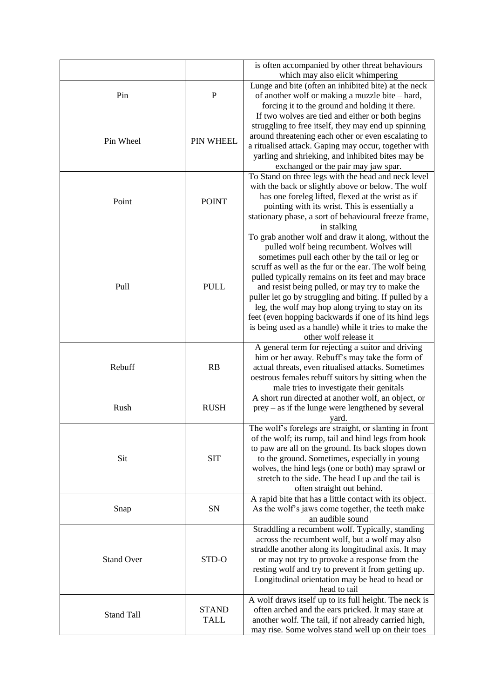|                   |              | is often accompanied by other threat behaviours                                                           |
|-------------------|--------------|-----------------------------------------------------------------------------------------------------------|
|                   |              | which may also elicit whimpering                                                                          |
|                   |              | Lunge and bite (often an inhibited bite) at the neck                                                      |
| Pin               | $\mathbf{P}$ | of another wolf or making a muzzle bite - hard,                                                           |
|                   |              | forcing it to the ground and holding it there.                                                            |
|                   |              | If two wolves are tied and either or both begins                                                          |
|                   |              | struggling to free itself, they may end up spinning                                                       |
| Pin Wheel         | PIN WHEEL    | around threatening each other or even escalating to                                                       |
|                   |              | a ritualised attack. Gaping may occur, together with<br>yarling and shrieking, and inhibited bites may be |
|                   |              | exchanged or the pair may jaw spar.                                                                       |
|                   |              | To Stand on three legs with the head and neck level                                                       |
|                   |              | with the back or slightly above or below. The wolf                                                        |
|                   |              | has one foreleg lifted, flexed at the wrist as if                                                         |
| Point             | <b>POINT</b> | pointing with its wrist. This is essentially a                                                            |
|                   |              | stationary phase, a sort of behavioural freeze frame,                                                     |
|                   |              | in stalking                                                                                               |
|                   |              | To grab another wolf and draw it along, without the                                                       |
|                   |              | pulled wolf being recumbent. Wolves will                                                                  |
|                   |              | sometimes pull each other by the tail or leg or                                                           |
|                   |              | scruff as well as the fur or the ear. The wolf being                                                      |
|                   |              | pulled typically remains on its feet and may brace                                                        |
| Pull              | <b>PULL</b>  | and resist being pulled, or may try to make the                                                           |
|                   |              | puller let go by struggling and biting. If pulled by a                                                    |
|                   |              | leg, the wolf may hop along trying to stay on its                                                         |
|                   |              | feet (even hopping backwards if one of its hind legs                                                      |
|                   |              | is being used as a handle) while it tries to make the                                                     |
|                   |              | other wolf release it                                                                                     |
|                   |              | A general term for rejecting a suitor and driving                                                         |
|                   |              | him or her away. Rebuff's may take the form of                                                            |
| Rebuff            | RB           | actual threats, even ritualised attacks. Sometimes                                                        |
|                   |              | oestrous females rebuff suitors by sitting when the                                                       |
|                   |              | male tries to investigate their genitals                                                                  |
|                   |              | A short run directed at another wolf, an object, or                                                       |
| Rush              | <b>RUSH</b>  | $prey - as$ if the lunge were lengthened by several                                                       |
|                   |              | yard.                                                                                                     |
|                   |              | The wolf's forelegs are straight, or slanting in front                                                    |
|                   |              | of the wolf; its rump, tail and hind legs from hook                                                       |
|                   |              | to paw are all on the ground. Its back slopes down                                                        |
| Sit               | <b>SIT</b>   | to the ground. Sometimes, especially in young                                                             |
|                   |              | wolves, the hind legs (one or both) may sprawl or                                                         |
|                   |              | stretch to the side. The head I up and the tail is                                                        |
|                   |              | often straight out behind.<br>A rapid bite that has a little contact with its object.                     |
|                   | SN           | As the wolf's jaws come together, the teeth make                                                          |
| Snap              |              | an audible sound                                                                                          |
|                   |              | Straddling a recumbent wolf. Typically, standing                                                          |
|                   |              | across the recumbent wolf, but a wolf may also                                                            |
|                   |              | straddle another along its longitudinal axis. It may                                                      |
| <b>Stand Over</b> | STD-O        | or may not try to provoke a response from the                                                             |
|                   |              | resting wolf and try to prevent it from getting up.                                                       |
|                   |              | Longitudinal orientation may be head to head or                                                           |
|                   |              | head to tail                                                                                              |
|                   |              | A wolf draws itself up to its full height. The neck is                                                    |
| <b>Stand Tall</b> | <b>STAND</b> | often arched and the ears pricked. It may stare at                                                        |
|                   | <b>TALL</b>  | another wolf. The tail, if not already carried high,                                                      |
|                   |              | may rise. Some wolves stand well up on their toes                                                         |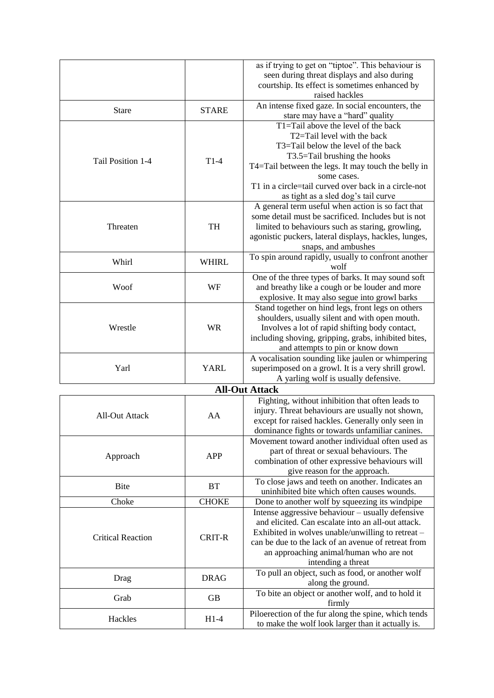|                          |              | as if trying to get on "tiptoe". This behaviour is<br>seen during threat displays and also during<br>courtship. Its effect is sometimes enhanced by<br>raised hackles                                                                                                                                                                             |
|--------------------------|--------------|---------------------------------------------------------------------------------------------------------------------------------------------------------------------------------------------------------------------------------------------------------------------------------------------------------------------------------------------------|
| <b>Stare</b>             | <b>STARE</b> | An intense fixed gaze. In social encounters, the                                                                                                                                                                                                                                                                                                  |
| Tail Position 1-4        | $T1-4$       | stare may have a "hard" quality<br>T1=Tail above the level of the back<br>T2=Tail level with the back<br>T3=Tail below the level of the back<br>T3.5=Tail brushing the hooks<br>T4=Tail between the legs. It may touch the belly in<br>some cases.<br>T1 in a circle=tail curved over back in a circle-not<br>as tight as a sled dog's tail curve |
| Threaten                 | TH           | A general term useful when action is so fact that<br>some detail must be sacrificed. Includes but is not<br>limited to behaviours such as staring, growling,<br>agonistic puckers, lateral displays, hackles, lunges,<br>snaps, and ambushes                                                                                                      |
| Whirl                    | <b>WHIRL</b> | To spin around rapidly, usually to confront another<br>wolf                                                                                                                                                                                                                                                                                       |
| Woof                     | WF           | One of the three types of barks. It may sound soft<br>and breathy like a cough or be louder and more<br>explosive. It may also segue into growl barks                                                                                                                                                                                             |
| Wrestle                  | <b>WR</b>    | Stand together on hind legs, front legs on others<br>shoulders, usually silent and with open mouth.<br>Involves a lot of rapid shifting body contact,<br>including shoving, gripping, grabs, inhibited bites,<br>and attempts to pin or know down                                                                                                 |
| Yarl                     | <b>YARL</b>  | A vocalisation sounding like jaulen or whimpering<br>superimposed on a growl. It is a very shrill growl.<br>A yarling wolf is usually defensive.                                                                                                                                                                                                  |
|                          |              | <b>All-Out Attack</b>                                                                                                                                                                                                                                                                                                                             |
| <b>All-Out Attack</b>    | AA           | Fighting, without inhibition that often leads to<br>injury. Threat behaviours are usually not shown,<br>except for raised hackles. Generally only seen in<br>dominance fights or towards unfamiliar canines.                                                                                                                                      |
| Approach                 | <b>APP</b>   | Movement toward another individual often used as<br>part of threat or sexual behaviours. The<br>combination of other expressive behaviours will<br>give reason for the approach.                                                                                                                                                                  |
| <b>Bite</b>              | <b>BT</b>    | To close jaws and teeth on another. Indicates an<br>uninhibited bite which often causes wounds.                                                                                                                                                                                                                                                   |
| Choke                    | <b>CHOKE</b> | Done to another wolf by squeezing its windpipe                                                                                                                                                                                                                                                                                                    |
| <b>Critical Reaction</b> | CRIT-R       | Intense aggressive behaviour - usually defensive<br>and elicited. Can escalate into an all-out attack.<br>Exhibited in wolves unable/unwilling to retreat –<br>can be due to the lack of an avenue of retreat from<br>an approaching animal/human who are not<br>intending a threat                                                               |
| Drag                     | <b>DRAG</b>  | To pull an object, such as food, or another wolf<br>along the ground.                                                                                                                                                                                                                                                                             |
| Grab                     | <b>GB</b>    | To bite an object or another wolf, and to hold it<br>firmly                                                                                                                                                                                                                                                                                       |
| Hackles                  | $H1-4$       | Piloerection of the fur along the spine, which tends<br>to make the wolf look larger than it actually is.                                                                                                                                                                                                                                         |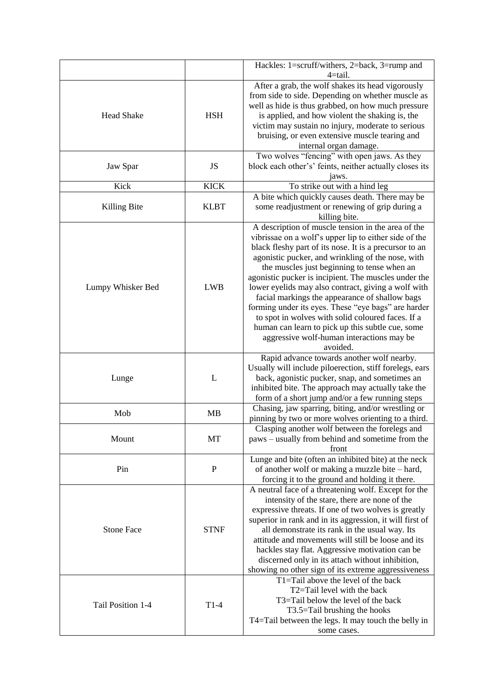|                   |             | Hackles: 1=scruff/withers, 2=back, 3=rump and                                                                                                                                                                                                                                                                                                                                                                                                                                                                                                                                                                                                                       |
|-------------------|-------------|---------------------------------------------------------------------------------------------------------------------------------------------------------------------------------------------------------------------------------------------------------------------------------------------------------------------------------------------------------------------------------------------------------------------------------------------------------------------------------------------------------------------------------------------------------------------------------------------------------------------------------------------------------------------|
| <b>Head Shake</b> | <b>HSH</b>  | $4 = tail.$<br>After a grab, the wolf shakes its head vigorously<br>from side to side. Depending on whether muscle as<br>well as hide is thus grabbed, on how much pressure<br>is applied, and how violent the shaking is, the<br>victim may sustain no injury, moderate to serious<br>bruising, or even extensive muscle tearing and<br>internal organ damage.                                                                                                                                                                                                                                                                                                     |
| Jaw Spar          | JS          | Two wolves "fencing" with open jaws. As they<br>block each other's' feints, neither actually closes its<br>jaws.                                                                                                                                                                                                                                                                                                                                                                                                                                                                                                                                                    |
| Kick              | <b>KICK</b> | To strike out with a hind leg                                                                                                                                                                                                                                                                                                                                                                                                                                                                                                                                                                                                                                       |
| Killing Bite      | <b>KLBT</b> | A bite which quickly causes death. There may be<br>some readjustment or renewing of grip during a<br>killing bite.                                                                                                                                                                                                                                                                                                                                                                                                                                                                                                                                                  |
| Lumpy Whisker Bed | <b>LWB</b>  | A description of muscle tension in the area of the<br>vibrissae on a wolf's upper lip to either side of the<br>black fleshy part of its nose. It is a precursor to an<br>agonistic pucker, and wrinkling of the nose, with<br>the muscles just beginning to tense when an<br>agonistic pucker is incipient. The muscles under the<br>lower eyelids may also contract, giving a wolf with<br>facial markings the appearance of shallow bags<br>forming under its eyes. These "eye bags" are harder<br>to spot in wolves with solid coloured faces. If a<br>human can learn to pick up this subtle cue, some<br>aggressive wolf-human interactions may be<br>avoided. |
| Lunge             | L           | Rapid advance towards another wolf nearby.<br>Usually will include piloerection, stiff forelegs, ears<br>back, agonistic pucker, snap, and sometimes an<br>inhibited bite. The approach may actually take the<br>form of a short jump and/or a few running steps                                                                                                                                                                                                                                                                                                                                                                                                    |
| Mob               | <b>MB</b>   | Chasing, jaw sparring, biting, and/or wrestling or<br>pinning by two or more wolves orienting to a third.                                                                                                                                                                                                                                                                                                                                                                                                                                                                                                                                                           |
| Mount             | MT          | Clasping another wolf between the forelegs and<br>paws – usually from behind and sometime from the<br>front                                                                                                                                                                                                                                                                                                                                                                                                                                                                                                                                                         |
| Pin               | $\mathbf P$ | Lunge and bite (often an inhibited bite) at the neck<br>of another wolf or making a muzzle bite – hard,<br>forcing it to the ground and holding it there.                                                                                                                                                                                                                                                                                                                                                                                                                                                                                                           |
| <b>Stone Face</b> | <b>STNF</b> | A neutral face of a threatening wolf. Except for the<br>intensity of the stare, there are none of the<br>expressive threats. If one of two wolves is greatly<br>superior in rank and in its aggression, it will first of<br>all demonstrate its rank in the usual way. Its<br>attitude and movements will still be loose and its<br>hackles stay flat. Aggressive motivation can be<br>discerned only in its attach without inhibition,<br>showing no other sign of its extreme aggressiveness                                                                                                                                                                      |
| Tail Position 1-4 | $T1-4$      | T1=Tail above the level of the back<br>T2=Tail level with the back<br>T3=Tail below the level of the back<br>T3.5=Tail brushing the hooks<br>T4=Tail between the legs. It may touch the belly in<br>some cases.                                                                                                                                                                                                                                                                                                                                                                                                                                                     |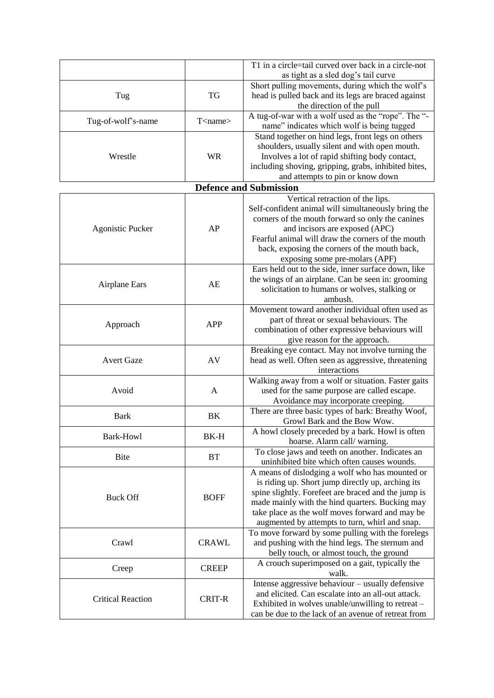|                          |                   | T1 in a circle=tail curved over back in a circle-not                                                   |
|--------------------------|-------------------|--------------------------------------------------------------------------------------------------------|
|                          |                   | as tight as a sled dog's tail curve                                                                    |
|                          |                   | Short pulling movements, during which the wolf's                                                       |
| Tug                      | <b>TG</b>         | head is pulled back and its legs are braced against                                                    |
|                          |                   | the direction of the pull                                                                              |
| Tug-of-wolf's-name       | $T$ <name></name> | A tug-of-war with a wolf used as the "rope". The "-                                                    |
|                          |                   | name" indicates which wolf is being tugged                                                             |
|                          |                   | Stand together on hind legs, front legs on others                                                      |
|                          |                   | shoulders, usually silent and with open mouth.                                                         |
| Wrestle                  | <b>WR</b>         | Involves a lot of rapid shifting body contact,                                                         |
|                          |                   | including shoving, gripping, grabs, inhibited bites,                                                   |
|                          |                   | and attempts to pin or know down                                                                       |
|                          |                   | <b>Defence and Submission</b>                                                                          |
|                          |                   | Vertical retraction of the lips.                                                                       |
|                          |                   | Self-confident animal will simultaneously bring the                                                    |
|                          |                   | corners of the mouth forward so only the canines                                                       |
| <b>Agonistic Pucker</b>  | AP                | and incisors are exposed (APC)                                                                         |
|                          |                   | Fearful animal will draw the corners of the mouth                                                      |
|                          |                   | back, exposing the corners of the mouth back,                                                          |
|                          |                   | exposing some pre-molars (APF)                                                                         |
|                          |                   | Ears held out to the side, inner surface down, like                                                    |
| <b>Airplane Ears</b>     | AE                | the wings of an airplane. Can be seen in: grooming                                                     |
|                          |                   | solicitation to humans or wolves, stalking or                                                          |
|                          |                   | ambush.                                                                                                |
|                          |                   | Movement toward another individual often used as                                                       |
| Approach                 | <b>APP</b>        | part of threat or sexual behaviours. The                                                               |
|                          |                   | combination of other expressive behaviours will                                                        |
|                          |                   | give reason for the approach.<br>Breaking eye contact. May not involve turning the                     |
| <b>Avert Gaze</b>        | AV                | head as well. Often seen as aggressive, threatening                                                    |
|                          |                   | interactions                                                                                           |
|                          |                   | Walking away from a wolf or situation. Faster gaits                                                    |
| Avoid                    | A                 | used for the same purpose are called escape.                                                           |
|                          |                   | Avoidance may incorporate creeping.                                                                    |
|                          |                   | There are three basic types of bark: Breathy Woof,                                                     |
| <b>Bark</b>              | BK                | Growl Bark and the Bow Wow.                                                                            |
|                          |                   | A howl closely preceded by a bark. Howl is often                                                       |
| Bark-Howl                | BK-H              | hoarse. Alarm call/warning.                                                                            |
| <b>Bite</b>              | <b>BT</b>         | To close jaws and teeth on another. Indicates an                                                       |
|                          |                   | uninhibited bite which often causes wounds.                                                            |
|                          |                   | A means of dislodging a wolf who has mounted or                                                        |
|                          |                   | is riding up. Short jump directly up, arching its                                                      |
| <b>Buck Off</b>          | <b>BOFF</b>       | spine slightly. Forefeet are braced and the jump is                                                    |
|                          |                   | made mainly with the hind quarters. Bucking may                                                        |
|                          |                   | take place as the wolf moves forward and may be                                                        |
|                          |                   | augmented by attempts to turn, whirl and snap.                                                         |
|                          |                   | To move forward by some pulling with the forelegs                                                      |
| Crawl                    | <b>CRAWL</b>      | and pushing with the hind legs. The sternum and                                                        |
|                          |                   | belly touch, or almost touch, the ground                                                               |
| Creep                    | <b>CREEP</b>      | A crouch superimposed on a gait, typically the                                                         |
|                          |                   | walk.                                                                                                  |
|                          |                   | Intense aggressive behaviour - usually defensive<br>and elicited. Can escalate into an all-out attack. |
| <b>Critical Reaction</b> | <b>CRIT-R</b>     | Exhibited in wolves unable/unwilling to retreat -                                                      |
|                          |                   | can be due to the lack of an avenue of retreat from                                                    |
|                          |                   |                                                                                                        |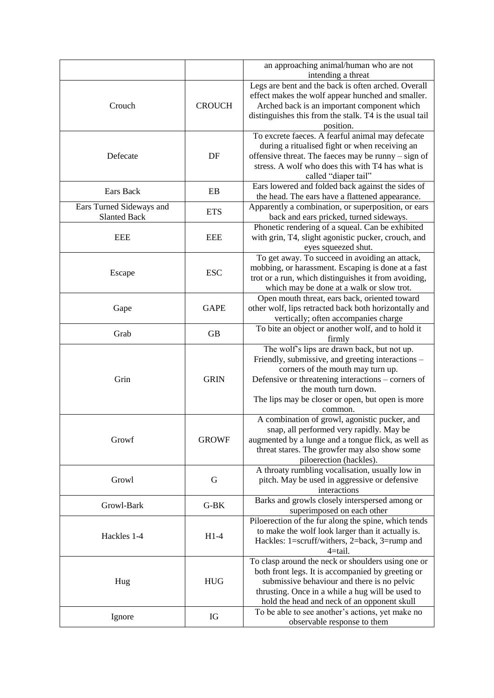|                                                 |               | an approaching animal/human who are not                                                                                                                                                                                                                                            |
|-------------------------------------------------|---------------|------------------------------------------------------------------------------------------------------------------------------------------------------------------------------------------------------------------------------------------------------------------------------------|
|                                                 |               | intending a threat                                                                                                                                                                                                                                                                 |
| Crouch                                          | <b>CROUCH</b> | Legs are bent and the back is often arched. Overall<br>effect makes the wolf appear hunched and smaller.<br>Arched back is an important component which<br>distinguishes this from the stalk. T4 is the usual tail<br>position.                                                    |
| Defecate                                        | DF            | To excrete faeces. A fearful animal may defecate<br>during a ritualised fight or when receiving an<br>offensive threat. The faeces may be runny - sign of<br>stress. A wolf who does this with T4 has what is<br>called "diaper tail"                                              |
| Ears Back                                       | EB            | Ears lowered and folded back against the sides of<br>the head. The ears have a flattened appearance.                                                                                                                                                                               |
| Ears Turned Sideways and<br><b>Slanted Back</b> | <b>ETS</b>    | Apparently a combination, or superposition, or ears<br>back and ears pricked, turned sideways.                                                                                                                                                                                     |
| <b>EEE</b>                                      | <b>EEE</b>    | Phonetic rendering of a squeal. Can be exhibited<br>with grin, T4, slight agonistic pucker, crouch, and<br>eyes squeezed shut.                                                                                                                                                     |
| Escape                                          | <b>ESC</b>    | To get away. To succeed in avoiding an attack,<br>mobbing, or harassment. Escaping is done at a fast<br>trot or a run, which distinguishes it from avoiding,<br>which may be done at a walk or slow trot.                                                                          |
| Gape                                            | <b>GAPE</b>   | Open mouth threat, ears back, oriented toward<br>other wolf, lips retracted back both horizontally and<br>vertically; often accompanies charge                                                                                                                                     |
| Grab                                            | <b>GB</b>     | To bite an object or another wolf, and to hold it<br>firmly                                                                                                                                                                                                                        |
| Grin                                            | <b>GRIN</b>   | The wolf's lips are drawn back, but not up.<br>Friendly, submissive, and greeting interactions -<br>corners of the mouth may turn up.<br>Defensive or threatening interactions – corners of<br>the mouth turn down.<br>The lips may be closer or open, but open is more<br>common. |
| Growf                                           | <b>GROWF</b>  | A combination of growl, agonistic pucker, and<br>snap, all performed very rapidly. May be<br>augmented by a lunge and a tongue flick, as well as<br>threat stares. The growfer may also show some<br>piloerection (hackles).                                                       |
| Growl                                           | G             | A throaty rumbling vocalisation, usually low in<br>pitch. May be used in aggressive or defensive<br>interactions                                                                                                                                                                   |
| Growl-Bark                                      | $G-BK$        | Barks and growls closely interspersed among or<br>superimposed on each other                                                                                                                                                                                                       |
| Hackles 1-4                                     | $H1-4$        | Piloerection of the fur along the spine, which tends<br>to make the wolf look larger than it actually is.<br>Hackles: 1=scruff/withers, 2=back, 3=rump and<br>$4 = tail.$                                                                                                          |
| Hug                                             | ${\rm HUG}$   | To clasp around the neck or shoulders using one or<br>both front legs. It is accompanied by greeting or<br>submissive behaviour and there is no pelvic<br>thrusting. Once in a while a hug will be used to<br>hold the head and neck of an opponent skull                          |
| Ignore                                          | IG            | To be able to see another's actions, yet make no<br>observable response to them                                                                                                                                                                                                    |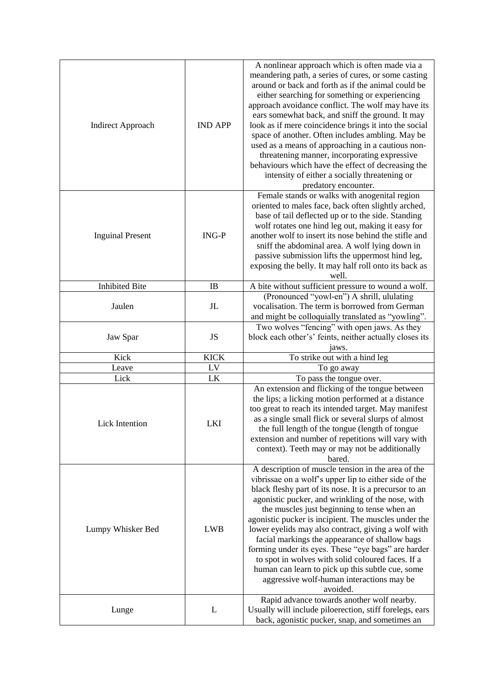| <b>Indirect Approach</b> | <b>IND APP</b> | A nonlinear approach which is often made via a<br>meandering path, a series of cures, or some casting<br>around or back and forth as if the animal could be<br>either searching for something or experiencing<br>approach avoidance conflict. The wolf may have its<br>ears somewhat back, and sniff the ground. It may<br>look as if mere coincidence brings it into the social<br>space of another. Often includes ambling. May be<br>used as a means of approaching in a cautious non-<br>threatening manner, incorporating expressive<br>behaviours which have the effect of decreasing the<br>intensity of either a socially threatening or<br>predatory encounter. |
|--------------------------|----------------|--------------------------------------------------------------------------------------------------------------------------------------------------------------------------------------------------------------------------------------------------------------------------------------------------------------------------------------------------------------------------------------------------------------------------------------------------------------------------------------------------------------------------------------------------------------------------------------------------------------------------------------------------------------------------|
| <b>Inguinal Present</b>  | $ING-P$        | Female stands or walks with anogenital region<br>oriented to males face, back often slightly arched,<br>base of tail deflected up or to the side. Standing<br>wolf rotates one hind leg out, making it easy for<br>another wolf to insert its nose behind the stifle and<br>sniff the abdominal area. A wolf lying down in<br>passive submission lifts the uppermost hind leg,<br>exposing the belly. It may half roll onto its back as<br>well.                                                                                                                                                                                                                         |
| <b>Inhibited Bite</b>    | IB             | A bite without sufficient pressure to wound a wolf.                                                                                                                                                                                                                                                                                                                                                                                                                                                                                                                                                                                                                      |
| Jaulen                   | J <sub>L</sub> | (Pronounced "yowl-en") A shrill, ululating<br>vocalisation. The term is borrowed from German<br>and might be colloquially translated as "yowling".                                                                                                                                                                                                                                                                                                                                                                                                                                                                                                                       |
| Jaw Spar                 | JS             | Two wolves "fencing" with open jaws. As they<br>block each other's' feints, neither actually closes its<br>jaws.                                                                                                                                                                                                                                                                                                                                                                                                                                                                                                                                                         |
| Kick                     | <b>KICK</b>    | To strike out with a hind leg                                                                                                                                                                                                                                                                                                                                                                                                                                                                                                                                                                                                                                            |
| Leave                    | LV             | To go away                                                                                                                                                                                                                                                                                                                                                                                                                                                                                                                                                                                                                                                               |
| Lick                     | LK             | To pass the tongue over.                                                                                                                                                                                                                                                                                                                                                                                                                                                                                                                                                                                                                                                 |
| Lick Intention           | <b>LKI</b>     | An extension and flicking of the tongue between<br>the lips; a licking motion performed at a distance<br>too great to reach its intended target. May manifest<br>as a single small flick or several slurps of almost<br>the full length of the tongue (length of tongue<br>extension and number of repetitions will vary with<br>context). Teeth may or may not be additionally<br>bared.                                                                                                                                                                                                                                                                                |
| Lumpy Whisker Bed        | <b>LWB</b>     | A description of muscle tension in the area of the<br>vibrissae on a wolf's upper lip to either side of the<br>black fleshy part of its nose. It is a precursor to an<br>agonistic pucker, and wrinkling of the nose, with<br>the muscles just beginning to tense when an<br>agonistic pucker is incipient. The muscles under the<br>lower eyelids may also contract, giving a wolf with<br>facial markings the appearance of shallow bags<br>forming under its eyes. These "eye bags" are harder<br>to spot in wolves with solid coloured faces. If a<br>human can learn to pick up this subtle cue, some<br>aggressive wolf-human interactions may be<br>avoided.      |
| Lunge                    | L              | Rapid advance towards another wolf nearby.<br>Usually will include piloerection, stiff forelegs, ears<br>back, agonistic pucker, snap, and sometimes an                                                                                                                                                                                                                                                                                                                                                                                                                                                                                                                  |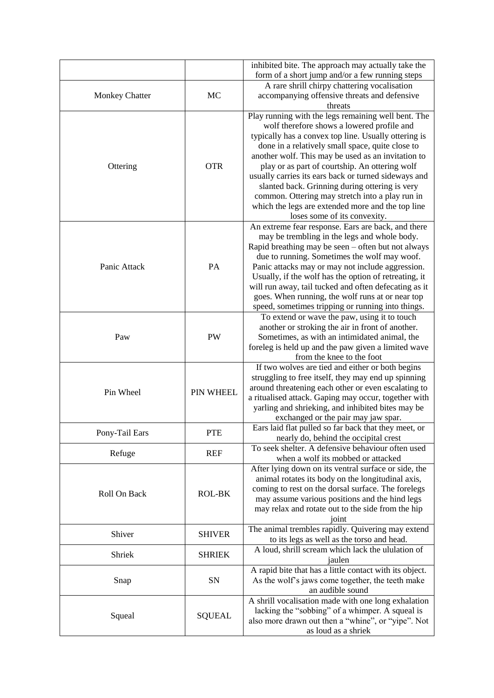|                       |                  | inhibited bite. The approach may actually take the<br>form of a short jump and/or a few running steps                                                                                                                                                                                                                                                                                                                                                                                                                                                                   |
|-----------------------|------------------|-------------------------------------------------------------------------------------------------------------------------------------------------------------------------------------------------------------------------------------------------------------------------------------------------------------------------------------------------------------------------------------------------------------------------------------------------------------------------------------------------------------------------------------------------------------------------|
| <b>Monkey Chatter</b> | MC               | A rare shrill chirpy chattering vocalisation<br>accompanying offensive threats and defensive<br>threats                                                                                                                                                                                                                                                                                                                                                                                                                                                                 |
| Ottering              | <b>OTR</b>       | Play running with the legs remaining well bent. The<br>wolf therefore shows a lowered profile and<br>typically has a convex top line. Usually ottering is<br>done in a relatively small space, quite close to<br>another wolf. This may be used as an invitation to<br>play or as part of courtship. An ottering wolf<br>usually carries its ears back or turned sideways and<br>slanted back. Grinning during ottering is very<br>common. Ottering may stretch into a play run in<br>which the legs are extended more and the top line<br>loses some of its convexity. |
| Panic Attack          | PA               | An extreme fear response. Ears are back, and there<br>may be trembling in the legs and whole body.<br>Rapid breathing may be seen – often but not always<br>due to running. Sometimes the wolf may woof.<br>Panic attacks may or may not include aggression.<br>Usually, if the wolf has the option of retreating, it<br>will run away, tail tucked and often defecating as it<br>goes. When running, the wolf runs at or near top<br>speed, sometimes tripping or running into things.                                                                                 |
| Paw                   | <b>PW</b>        | To extend or wave the paw, using it to touch<br>another or stroking the air in front of another.<br>Sometimes, as with an intimidated animal, the<br>foreleg is held up and the paw given a limited wave<br>from the knee to the foot                                                                                                                                                                                                                                                                                                                                   |
| Pin Wheel             | <b>PIN WHEEL</b> | If two wolves are tied and either or both begins<br>struggling to free itself, they may end up spinning<br>around threatening each other or even escalating to<br>a ritualised attack. Gaping may occur, together with<br>yarling and shrieking, and inhibited bites may be<br>exchanged or the pair may jaw spar.                                                                                                                                                                                                                                                      |
| Pony-Tail Ears        | <b>PTE</b>       | Ears laid flat pulled so far back that they meet, or<br>nearly do, behind the occipital crest                                                                                                                                                                                                                                                                                                                                                                                                                                                                           |
| Refuge                | <b>REF</b>       | To seek shelter. A defensive behaviour often used<br>when a wolf its mobbed or attacked                                                                                                                                                                                                                                                                                                                                                                                                                                                                                 |
| Roll On Back          | ROL-BK           | After lying down on its ventral surface or side, the<br>animal rotates its body on the longitudinal axis,<br>coming to rest on the dorsal surface. The forelegs<br>may assume various positions and the hind legs<br>may relax and rotate out to the side from the hip<br>joint                                                                                                                                                                                                                                                                                         |
| Shiver                | <b>SHIVER</b>    | The animal trembles rapidly. Quivering may extend<br>to its legs as well as the torso and head.                                                                                                                                                                                                                                                                                                                                                                                                                                                                         |
| Shriek                | <b>SHRIEK</b>    | A loud, shrill scream which lack the ululation of<br>jaulen                                                                                                                                                                                                                                                                                                                                                                                                                                                                                                             |
| Snap                  | SN               | A rapid bite that has a little contact with its object.<br>As the wolf's jaws come together, the teeth make<br>an audible sound                                                                                                                                                                                                                                                                                                                                                                                                                                         |
| Squeal                | <b>SQUEAL</b>    | A shrill vocalisation made with one long exhalation<br>lacking the "sobbing" of a whimper. A squeal is<br>also more drawn out then a "whine", or "yipe". Not<br>as loud as a shriek                                                                                                                                                                                                                                                                                                                                                                                     |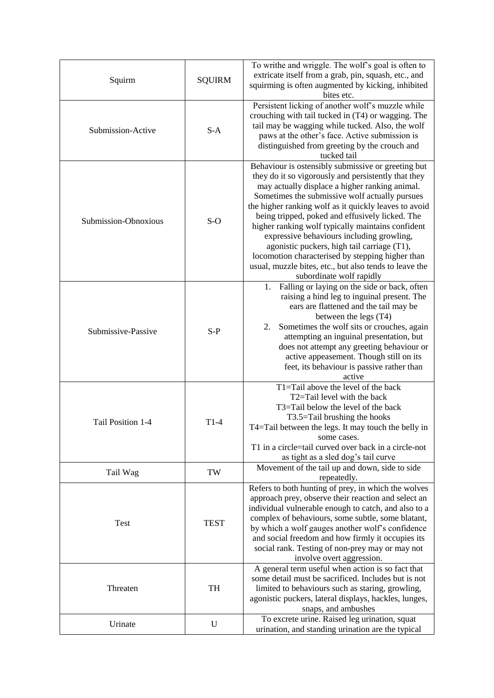| Squirm               | <b>SQUIRM</b> | To writhe and wriggle. The wolf's goal is often to<br>extricate itself from a grab, pin, squash, etc., and<br>squirming is often augmented by kicking, inhibited<br>bites etc.                                                                                                                                                                                                                                                                                                                                                                                                                                       |
|----------------------|---------------|----------------------------------------------------------------------------------------------------------------------------------------------------------------------------------------------------------------------------------------------------------------------------------------------------------------------------------------------------------------------------------------------------------------------------------------------------------------------------------------------------------------------------------------------------------------------------------------------------------------------|
| Submission-Active    | $S-A$         | Persistent licking of another wolf's muzzle while<br>crouching with tail tucked in (T4) or wagging. The<br>tail may be wagging while tucked. Also, the wolf<br>paws at the other's face. Active submission is<br>distinguished from greeting by the crouch and<br>tucked tail                                                                                                                                                                                                                                                                                                                                        |
| Submission-Obnoxious | $S-O$         | Behaviour is ostensibly submissive or greeting but<br>they do it so vigorously and persistently that they<br>may actually displace a higher ranking animal.<br>Sometimes the submissive wolf actually pursues<br>the higher ranking wolf as it quickly leaves to avoid<br>being tripped, poked and effusively licked. The<br>higher ranking wolf typically maintains confident<br>expressive behaviours including growling,<br>agonistic puckers, high tail carriage (T1),<br>locomotion characterised by stepping higher than<br>usual, muzzle bites, etc., but also tends to leave the<br>subordinate wolf rapidly |
| Submissive-Passive   | $S-P$         | Falling or laying on the side or back, often<br>1.<br>raising a hind leg to inguinal present. The<br>ears are flattened and the tail may be<br>between the legs (T4)<br>Sometimes the wolf sits or crouches, again<br>2.<br>attempting an inguinal presentation, but<br>does not attempt any greeting behaviour or<br>active appeasement. Though still on its<br>feet, its behaviour is passive rather than<br>active                                                                                                                                                                                                |
| Tail Position 1-4    | $T1-4$        | $T1 = Tail above the level of the back$<br>T2=Tail level with the back<br>T3=Tail below the level of the back<br>T3.5=Tail brushing the hooks<br>T4=Tail between the legs. It may touch the belly in<br>some cases.<br>T1 in a circle=tail curved over back in a circle-not<br>as tight as a sled dog's tail curve                                                                                                                                                                                                                                                                                                   |
| Tail Wag             | TW            | Movement of the tail up and down, side to side<br>repeatedly.                                                                                                                                                                                                                                                                                                                                                                                                                                                                                                                                                        |
| Test                 | <b>TEST</b>   | Refers to both hunting of prey, in which the wolves<br>approach prey, observe their reaction and select an<br>individual vulnerable enough to catch, and also to a<br>complex of behaviours, some subtle, some blatant,<br>by which a wolf gauges another wolf's confidence<br>and social freedom and how firmly it occupies its<br>social rank. Testing of non-prey may or may not<br>involve overt aggression.                                                                                                                                                                                                     |
| Threaten             | TH            | A general term useful when action is so fact that<br>some detail must be sacrificed. Includes but is not<br>limited to behaviours such as staring, growling,<br>agonistic puckers, lateral displays, hackles, lunges,<br>snaps, and ambushes                                                                                                                                                                                                                                                                                                                                                                         |
| Urinate              | $\mathbf U$   | To excrete urine. Raised leg urination, squat<br>urination, and standing urination are the typical                                                                                                                                                                                                                                                                                                                                                                                                                                                                                                                   |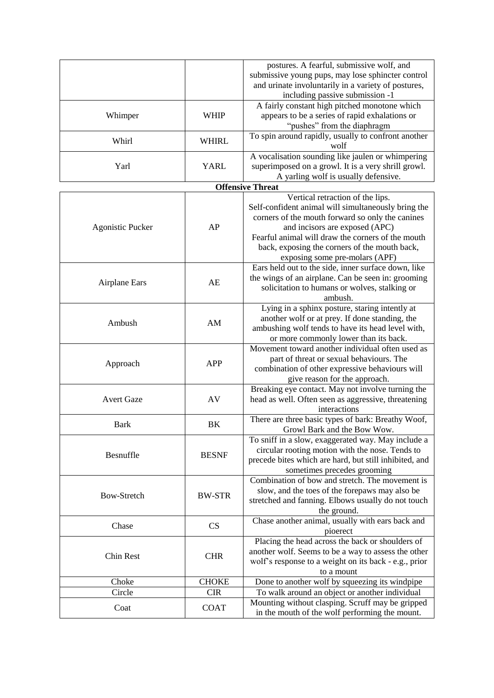|                         |               | postures. A fearful, submissive wolf, and                                             |
|-------------------------|---------------|---------------------------------------------------------------------------------------|
|                         |               | submissive young pups, may lose sphincter control                                     |
|                         |               | and urinate involuntarily in a variety of postures,                                   |
|                         |               | including passive submission -1                                                       |
|                         |               | A fairly constant high pitched monotone which                                         |
| Whimper                 | <b>WHIP</b>   | appears to be a series of rapid exhalations or                                        |
|                         |               | "pushes" from the diaphragm                                                           |
|                         |               | To spin around rapidly, usually to confront another                                   |
| Whirl                   | <b>WHIRL</b>  | wolf                                                                                  |
|                         |               | A vocalisation sounding like jaulen or whimpering                                     |
| Yarl                    | <b>YARL</b>   | superimposed on a growl. It is a very shrill growl.                                   |
|                         |               | A yarling wolf is usually defensive.                                                  |
|                         |               | <b>Offensive Threat</b>                                                               |
|                         |               | Vertical retraction of the lips.                                                      |
|                         |               |                                                                                       |
|                         |               | Self-confident animal will simultaneously bring the                                   |
|                         | AP            | corners of the mouth forward so only the canines                                      |
| <b>Agonistic Pucker</b> |               | and incisors are exposed (APC)<br>Fearful animal will draw the corners of the mouth   |
|                         |               | back, exposing the corners of the mouth back,                                         |
|                         |               |                                                                                       |
|                         |               | exposing some pre-molars (APF)<br>Ears held out to the side, inner surface down, like |
|                         |               |                                                                                       |
| <b>Airplane Ears</b>    | AE            | the wings of an airplane. Can be seen in: grooming                                    |
|                         |               | solicitation to humans or wolves, stalking or                                         |
|                         |               | ambush.                                                                               |
|                         |               | Lying in a sphinx posture, staring intently at                                        |
| Ambush                  | AM            | another wolf or at prey. If done standing, the                                        |
|                         |               | ambushing wolf tends to have its head level with,                                     |
|                         |               | or more commonly lower than its back.                                                 |
|                         |               | Movement toward another individual often used as                                      |
| Approach                | <b>APP</b>    | part of threat or sexual behaviours. The                                              |
|                         |               | combination of other expressive behaviours will                                       |
|                         |               | give reason for the approach.                                                         |
|                         |               | Breaking eye contact. May not involve turning the                                     |
| <b>Avert Gaze</b>       | AV            | head as well. Often seen as aggressive, threatening                                   |
|                         |               | interactions                                                                          |
| <b>Bark</b>             | BK            | There are three basic types of bark: Breathy Woof,                                    |
|                         |               | Growl Bark and the Bow Wow.                                                           |
|                         |               | To sniff in a slow, exaggerated way. May include a                                    |
| Besnuffle               | <b>BESNF</b>  | circular rooting motion with the nose. Tends to                                       |
|                         |               | precede bites which are hard, but still inhibited, and                                |
|                         |               | sometimes precedes grooming<br>Combination of bow and stretch. The movement is        |
|                         |               | slow, and the toes of the forepaws may also be                                        |
| <b>Bow-Stretch</b>      | <b>BW-STR</b> |                                                                                       |
|                         |               | stretched and fanning. Elbows usually do not touch                                    |
|                         |               | the ground.                                                                           |
| Chase                   | CS            | Chase another animal, usually with ears back and                                      |
|                         |               | pioerect                                                                              |
|                         |               | Placing the head across the back or shoulders of                                      |
| Chin Rest               | <b>CHR</b>    | another wolf. Seems to be a way to assess the other                                   |
|                         |               | wolf's response to a weight on its back - e.g., prior                                 |
|                         | <b>CHOKE</b>  | to a mount                                                                            |
| Choke<br>Circle         | <b>CIR</b>    | Done to another wolf by squeezing its windpipe                                        |
|                         |               | To walk around an object or another individual                                        |
| Coat                    | <b>COAT</b>   | Mounting without clasping. Scruff may be gripped                                      |
|                         |               | in the mouth of the wolf performing the mount.                                        |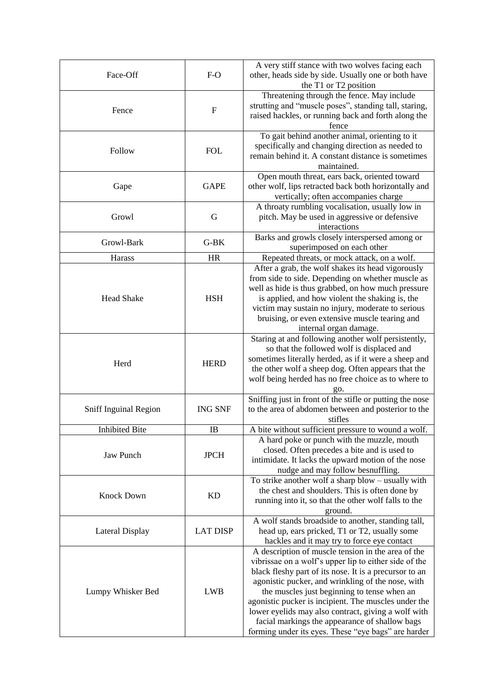| Face-Off              | $F-O$           | A very stiff stance with two wolves facing each<br>other, heads side by side. Usually one or both have<br>the T1 or T2 position                                                                                                                                                                                                                                                                                                                                                                   |
|-----------------------|-----------------|---------------------------------------------------------------------------------------------------------------------------------------------------------------------------------------------------------------------------------------------------------------------------------------------------------------------------------------------------------------------------------------------------------------------------------------------------------------------------------------------------|
| Fence                 | F               | Threatening through the fence. May include<br>strutting and "muscle poses", standing tall, staring,<br>raised hackles, or running back and forth along the<br>fence                                                                                                                                                                                                                                                                                                                               |
| Follow                | <b>FOL</b>      | To gait behind another animal, orienting to it<br>specifically and changing direction as needed to<br>remain behind it. A constant distance is sometimes<br>maintained.                                                                                                                                                                                                                                                                                                                           |
| Gape                  | <b>GAPE</b>     | Open mouth threat, ears back, oriented toward<br>other wolf, lips retracted back both horizontally and<br>vertically; often accompanies charge                                                                                                                                                                                                                                                                                                                                                    |
| Growl                 | G               | A throaty rumbling vocalisation, usually low in<br>pitch. May be used in aggressive or defensive<br>interactions                                                                                                                                                                                                                                                                                                                                                                                  |
| Growl-Bark            | $G-BK$          | Barks and growls closely interspersed among or<br>superimposed on each other                                                                                                                                                                                                                                                                                                                                                                                                                      |
| Harass                | <b>HR</b>       | Repeated threats, or mock attack, on a wolf.                                                                                                                                                                                                                                                                                                                                                                                                                                                      |
| <b>Head Shake</b>     | <b>HSH</b>      | After a grab, the wolf shakes its head vigorously<br>from side to side. Depending on whether muscle as<br>well as hide is thus grabbed, on how much pressure<br>is applied, and how violent the shaking is, the<br>victim may sustain no injury, moderate to serious<br>bruising, or even extensive muscle tearing and<br>internal organ damage.                                                                                                                                                  |
| Herd                  | <b>HERD</b>     | Staring at and following another wolf persistently,<br>so that the followed wolf is displaced and<br>sometimes literally herded, as if it were a sheep and<br>the other wolf a sheep dog. Often appears that the<br>wolf being herded has no free choice as to where to<br>go.                                                                                                                                                                                                                    |
| Sniff Inguinal Region | <b>ING SNF</b>  | Sniffing just in front of the stifle or putting the nose<br>to the area of abdomen between and posterior to the<br>stifles                                                                                                                                                                                                                                                                                                                                                                        |
| <b>Inhibited Bite</b> | IB.             | A bite without sufficient pressure to wound a wolf.                                                                                                                                                                                                                                                                                                                                                                                                                                               |
| Jaw Punch             | <b>JPCH</b>     | A hard poke or punch with the muzzle, mouth<br>closed. Often precedes a bite and is used to<br>intimidate. It lacks the upward motion of the nose<br>nudge and may follow besnuffling.                                                                                                                                                                                                                                                                                                            |
| <b>Knock Down</b>     | <b>KD</b>       | To strike another wolf a sharp blow – usually with<br>the chest and shoulders. This is often done by<br>running into it, so that the other wolf falls to the<br>ground.                                                                                                                                                                                                                                                                                                                           |
| Lateral Display       | <b>LAT DISP</b> | A wolf stands broadside to another, standing tall,<br>head up, ears pricked, T1 or T2, usually some<br>hackles and it may try to force eye contact                                                                                                                                                                                                                                                                                                                                                |
| Lumpy Whisker Bed     | <b>LWB</b>      | A description of muscle tension in the area of the<br>vibrissae on a wolf's upper lip to either side of the<br>black fleshy part of its nose. It is a precursor to an<br>agonistic pucker, and wrinkling of the nose, with<br>the muscles just beginning to tense when an<br>agonistic pucker is incipient. The muscles under the<br>lower eyelids may also contract, giving a wolf with<br>facial markings the appearance of shallow bags<br>forming under its eyes. These "eye bags" are harder |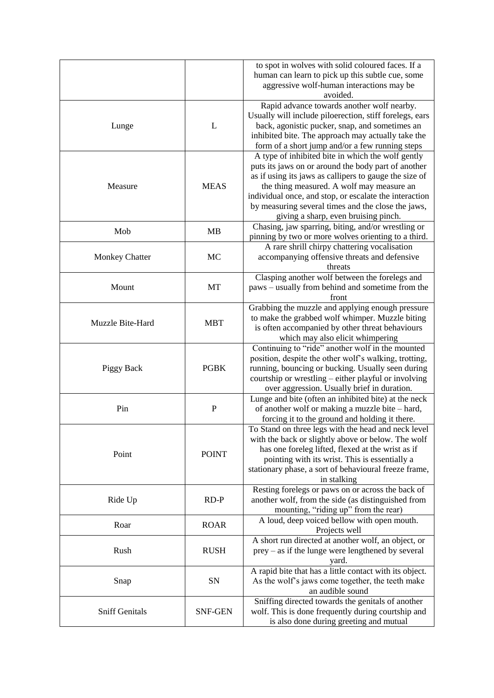|                       |                | to spot in wolves with solid coloured faces. If a<br>human can learn to pick up this subtle cue, some<br>aggressive wolf-human interactions may be<br>avoided.                                                                                                                                                                                                          |
|-----------------------|----------------|-------------------------------------------------------------------------------------------------------------------------------------------------------------------------------------------------------------------------------------------------------------------------------------------------------------------------------------------------------------------------|
| Lunge                 | L              | Rapid advance towards another wolf nearby.<br>Usually will include piloerection, stiff forelegs, ears<br>back, agonistic pucker, snap, and sometimes an<br>inhibited bite. The approach may actually take the<br>form of a short jump and/or a few running steps                                                                                                        |
| Measure               | <b>MEAS</b>    | A type of inhibited bite in which the wolf gently<br>puts its jaws on or around the body part of another<br>as if using its jaws as callipers to gauge the size of<br>the thing measured. A wolf may measure an<br>individual once, and stop, or escalate the interaction<br>by measuring several times and the close the jaws,<br>giving a sharp, even bruising pinch. |
| Mob                   | <b>MB</b>      | Chasing, jaw sparring, biting, and/or wrestling or<br>pinning by two or more wolves orienting to a third.                                                                                                                                                                                                                                                               |
| <b>Monkey Chatter</b> | MC             | A rare shrill chirpy chattering vocalisation<br>accompanying offensive threats and defensive<br>threats                                                                                                                                                                                                                                                                 |
| Mount                 | MT             | Clasping another wolf between the forelegs and<br>paws – usually from behind and sometime from the<br>front                                                                                                                                                                                                                                                             |
| Muzzle Bite-Hard      | <b>MBT</b>     | Grabbing the muzzle and applying enough pressure<br>to make the grabbed wolf whimper. Muzzle biting<br>is often accompanied by other threat behaviours<br>which may also elicit whimpering                                                                                                                                                                              |
| <b>Piggy Back</b>     | <b>PGBK</b>    | Continuing to "ride" another wolf in the mounted<br>position, despite the other wolf's walking, trotting,<br>running, bouncing or bucking. Usually seen during<br>courtship or wrestling – either playful or involving<br>over aggression. Usually brief in duration.                                                                                                   |
| Pin                   | $\mathbf P$    | Lunge and bite (often an inhibited bite) at the neck<br>of another wolf or making a muzzle bite - hard,<br>forcing it to the ground and holding it there.                                                                                                                                                                                                               |
| Point                 | <b>POINT</b>   | To Stand on three legs with the head and neck level<br>with the back or slightly above or below. The wolf<br>has one foreleg lifted, flexed at the wrist as if<br>pointing with its wrist. This is essentially a<br>stationary phase, a sort of behavioural freeze frame,<br>in stalking                                                                                |
| Ride Up               | $RD-P$         | Resting forelegs or paws on or across the back of<br>another wolf, from the side (as distinguished from<br>mounting, "riding up" from the rear)                                                                                                                                                                                                                         |
| Roar                  | <b>ROAR</b>    | A loud, deep voiced bellow with open mouth.<br>Projects well                                                                                                                                                                                                                                                                                                            |
| Rush                  | <b>RUSH</b>    | A short run directed at another wolf, an object, or<br>$prey - as$ if the lunge were lengthened by several<br>yard.                                                                                                                                                                                                                                                     |
| Snap                  | SN             | A rapid bite that has a little contact with its object.<br>As the wolf's jaws come together, the teeth make<br>an audible sound                                                                                                                                                                                                                                         |
| <b>Sniff Genitals</b> | <b>SNF-GEN</b> | Sniffing directed towards the genitals of another<br>wolf. This is done frequently during courtship and<br>is also done during greeting and mutual                                                                                                                                                                                                                      |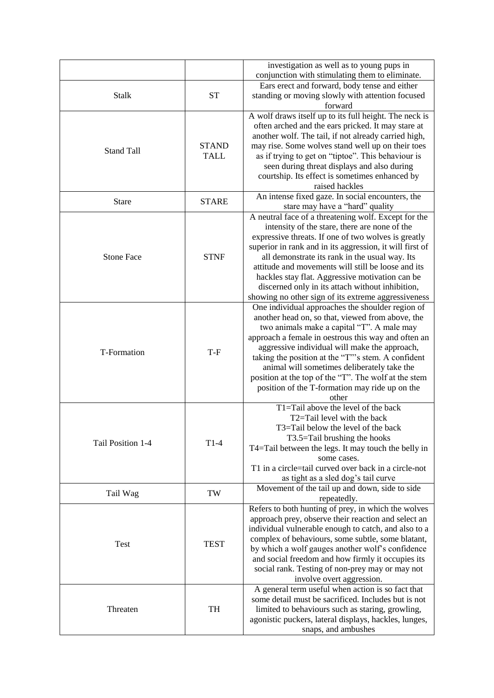|                   |                             | investigation as well as to young pups in<br>conjunction with stimulating them to eliminate.                                                                                                                                                                                                                                                                                                                                                                                                   |
|-------------------|-----------------------------|------------------------------------------------------------------------------------------------------------------------------------------------------------------------------------------------------------------------------------------------------------------------------------------------------------------------------------------------------------------------------------------------------------------------------------------------------------------------------------------------|
| <b>Stalk</b>      | <b>ST</b>                   | Ears erect and forward, body tense and either<br>standing or moving slowly with attention focused                                                                                                                                                                                                                                                                                                                                                                                              |
| <b>Stand Tall</b> | <b>STAND</b><br><b>TALL</b> | forward<br>A wolf draws itself up to its full height. The neck is<br>often arched and the ears pricked. It may stare at<br>another wolf. The tail, if not already carried high,<br>may rise. Some wolves stand well up on their toes<br>as if trying to get on "tiptoe". This behaviour is<br>seen during threat displays and also during<br>courtship. Its effect is sometimes enhanced by<br>raised hackles                                                                                  |
| <b>Stare</b>      | <b>STARE</b>                | An intense fixed gaze. In social encounters, the<br>stare may have a "hard" quality                                                                                                                                                                                                                                                                                                                                                                                                            |
| <b>Stone Face</b> | <b>STNF</b>                 | A neutral face of a threatening wolf. Except for the<br>intensity of the stare, there are none of the<br>expressive threats. If one of two wolves is greatly<br>superior in rank and in its aggression, it will first of<br>all demonstrate its rank in the usual way. Its<br>attitude and movements will still be loose and its<br>hackles stay flat. Aggressive motivation can be<br>discerned only in its attach without inhibition,<br>showing no other sign of its extreme aggressiveness |
| T-Formation       | T-F                         | One individual approaches the shoulder region of<br>another head on, so that, viewed from above, the<br>two animals make a capital "T". A male may<br>approach a female in oestrous this way and often an<br>aggressive individual will make the approach,<br>taking the position at the "T"'s stem. A confident<br>animal will sometimes deliberately take the<br>position at the top of the "T". The wolf at the stem<br>position of the T-formation may ride up on the<br>other             |
| Tail Position 1-4 | $T1-4$                      | T1=Tail above the level of the back<br>T2=Tail level with the back<br>T3=Tail below the level of the back<br>T3.5=Tail brushing the hooks<br>T4=Tail between the legs. It may touch the belly in<br>some cases.<br>T1 in a circle=tail curved over back in a circle-not<br>as tight as a sled dog's tail curve                                                                                                                                                                                 |
| Tail Wag          | TW                          | Movement of the tail up and down, side to side<br>repeatedly.                                                                                                                                                                                                                                                                                                                                                                                                                                  |
| <b>Test</b>       | <b>TEST</b>                 | Refers to both hunting of prey, in which the wolves<br>approach prey, observe their reaction and select an<br>individual vulnerable enough to catch, and also to a<br>complex of behaviours, some subtle, some blatant,<br>by which a wolf gauges another wolf's confidence<br>and social freedom and how firmly it occupies its<br>social rank. Testing of non-prey may or may not<br>involve overt aggression.                                                                               |
| Threaten          | TH                          | A general term useful when action is so fact that<br>some detail must be sacrificed. Includes but is not<br>limited to behaviours such as staring, growling,<br>agonistic puckers, lateral displays, hackles, lunges,<br>snaps, and ambushes                                                                                                                                                                                                                                                   |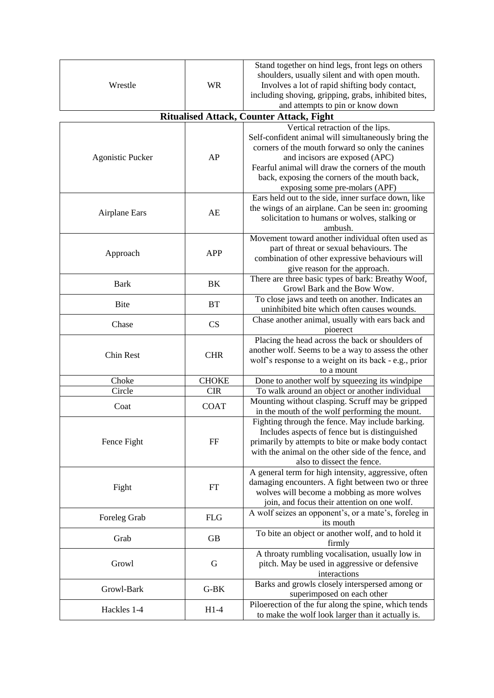| Wrestle                 | <b>WR</b>    | Stand together on hind legs, front legs on others<br>shoulders, usually silent and with open mouth.<br>Involves a lot of rapid shifting body contact,<br>including shoving, gripping, grabs, inhibited bites,<br>and attempts to pin or know down |
|-------------------------|--------------|---------------------------------------------------------------------------------------------------------------------------------------------------------------------------------------------------------------------------------------------------|
|                         |              | <b>Ritualised Attack, Counter Attack, Fight</b>                                                                                                                                                                                                   |
|                         |              | Vertical retraction of the lips.<br>Self-confident animal will simultaneously bring the                                                                                                                                                           |
| <b>Agonistic Pucker</b> | AP           | corners of the mouth forward so only the canines<br>and incisors are exposed (APC)<br>Fearful animal will draw the corners of the mouth<br>back, exposing the corners of the mouth back,<br>exposing some pre-molars (APF)                        |
| <b>Airplane Ears</b>    | AE           | Ears held out to the side, inner surface down, like<br>the wings of an airplane. Can be seen in: grooming<br>solicitation to humans or wolves, stalking or<br>ambush.                                                                             |
| Approach                | <b>APP</b>   | Movement toward another individual often used as<br>part of threat or sexual behaviours. The<br>combination of other expressive behaviours will<br>give reason for the approach.                                                                  |
| <b>Bark</b>             | BK           | There are three basic types of bark: Breathy Woof,<br>Growl Bark and the Bow Wow.                                                                                                                                                                 |
| <b>Bite</b>             | <b>BT</b>    | To close jaws and teeth on another. Indicates an<br>uninhibited bite which often causes wounds.                                                                                                                                                   |
| Chase                   | CS           | Chase another animal, usually with ears back and<br>pioerect                                                                                                                                                                                      |
| Chin Rest               | <b>CHR</b>   | Placing the head across the back or shoulders of<br>another wolf. Seems to be a way to assess the other<br>wolf's response to a weight on its back - e.g., prior<br>to a mount                                                                    |
| Choke                   | <b>CHOKE</b> | Done to another wolf by squeezing its windpipe                                                                                                                                                                                                    |
| Circle                  | <b>CIR</b>   | To walk around an object or another individual                                                                                                                                                                                                    |
| Coat                    | <b>COAT</b>  | Mounting without clasping. Scruff may be gripped<br>in the mouth of the wolf performing the mount.                                                                                                                                                |
| Fence Fight             | FF           | Fighting through the fence. May include barking.<br>Includes aspects of fence but is distinguished<br>primarily by attempts to bite or make body contact<br>with the animal on the other side of the fence, and<br>also to dissect the fence.     |
| Fight                   | FT           | A general term for high intensity, aggressive, often<br>damaging encounters. A fight between two or three<br>wolves will become a mobbing as more wolves<br>join, and focus their attention on one wolf.                                          |
| Foreleg Grab            | <b>FLG</b>   | A wolf seizes an opponent's, or a mate's, foreleg in<br>its mouth                                                                                                                                                                                 |
| Grab                    | <b>GB</b>    | To bite an object or another wolf, and to hold it<br>firmly                                                                                                                                                                                       |
| Growl                   | G            | A throaty rumbling vocalisation, usually low in<br>pitch. May be used in aggressive or defensive<br>interactions                                                                                                                                  |
| Growl-Bark              | $G-BK$       | Barks and growls closely interspersed among or<br>superimposed on each other                                                                                                                                                                      |
| Hackles 1-4             | $H1-4$       | Piloerection of the fur along the spine, which tends<br>to make the wolf look larger than it actually is.                                                                                                                                         |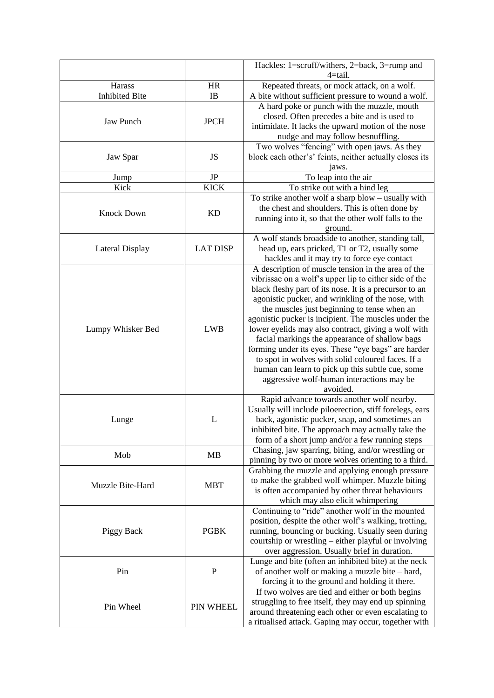|                       |                 | Hackles: 1=scruff/withers, 2=back, 3=rump and           |
|-----------------------|-----------------|---------------------------------------------------------|
|                       |                 | $4 = tail.$                                             |
| Harass                | <b>HR</b>       | Repeated threats, or mock attack, on a wolf.            |
| <b>Inhibited Bite</b> | IB              | A bite without sufficient pressure to wound a wolf.     |
|                       |                 | A hard poke or punch with the muzzle, mouth             |
| <b>Jaw Punch</b>      | <b>JPCH</b>     | closed. Often precedes a bite and is used to            |
|                       |                 | intimidate. It lacks the upward motion of the nose      |
|                       |                 | nudge and may follow besnuffling.                       |
|                       |                 | Two wolves "fencing" with open jaws. As they            |
| Jaw Spar              | JS              | block each other's' feints, neither actually closes its |
|                       |                 | jaws.                                                   |
| Jump                  | JP              | To leap into the air                                    |
| Kick                  | <b>KICK</b>     | To strike out with a hind leg                           |
|                       |                 | To strike another wolf a sharp blow - usually with      |
| <b>Knock Down</b>     | <b>KD</b>       | the chest and shoulders. This is often done by          |
|                       |                 | running into it, so that the other wolf falls to the    |
|                       |                 | ground.                                                 |
|                       |                 | A wolf stands broadside to another, standing tall,      |
| Lateral Display       | <b>LAT DISP</b> | head up, ears pricked, T1 or T2, usually some           |
|                       |                 | hackles and it may try to force eye contact             |
|                       |                 | A description of muscle tension in the area of the      |
|                       |                 | vibrissae on a wolf's upper lip to either side of the   |
|                       |                 | black fleshy part of its nose. It is a precursor to an  |
|                       |                 | agonistic pucker, and wrinkling of the nose, with       |
|                       |                 | the muscles just beginning to tense when an             |
|                       |                 | agonistic pucker is incipient. The muscles under the    |
| Lumpy Whisker Bed     | <b>LWB</b>      | lower eyelids may also contract, giving a wolf with     |
|                       |                 | facial markings the appearance of shallow bags          |
|                       |                 | forming under its eyes. These "eye bags" are harder     |
|                       |                 | to spot in wolves with solid coloured faces. If a       |
|                       |                 | human can learn to pick up this subtle cue, some        |
|                       |                 | aggressive wolf-human interactions may be               |
|                       |                 | avoided.                                                |
|                       |                 | Rapid advance towards another wolf nearby.              |
|                       |                 | Usually will include piloerection, stiff forelegs, ears |
| Lunge                 | L               | back, agonistic pucker, snap, and sometimes an          |
|                       |                 | inhibited bite. The approach may actually take the      |
|                       |                 | form of a short jump and/or a few running steps         |
| Mob                   | <b>MB</b>       | Chasing, jaw sparring, biting, and/or wrestling or      |
|                       |                 | pinning by two or more wolves orienting to a third.     |
|                       |                 | Grabbing the muzzle and applying enough pressure        |
| Muzzle Bite-Hard      | <b>MBT</b>      | to make the grabbed wolf whimper. Muzzle biting         |
|                       |                 | is often accompanied by other threat behaviours         |
|                       |                 | which may also elicit whimpering                        |
| Piggy Back            |                 | Continuing to "ride" another wolf in the mounted        |
|                       |                 | position, despite the other wolf's walking, trotting,   |
|                       | <b>PGBK</b>     | running, bouncing or bucking. Usually seen during       |
|                       |                 | courtship or wrestling – either playful or involving    |
|                       |                 | over aggression. Usually brief in duration.             |
|                       |                 | Lunge and bite (often an inhibited bite) at the neck    |
| Pin                   | $\mathbf P$     | of another wolf or making a muzzle bite - hard,         |
|                       |                 | forcing it to the ground and holding it there.          |
|                       |                 | If two wolves are tied and either or both begins        |
| Pin Wheel             | PIN WHEEL       | struggling to free itself, they may end up spinning     |
|                       |                 | around threatening each other or even escalating to     |
|                       |                 | a ritualised attack. Gaping may occur, together with    |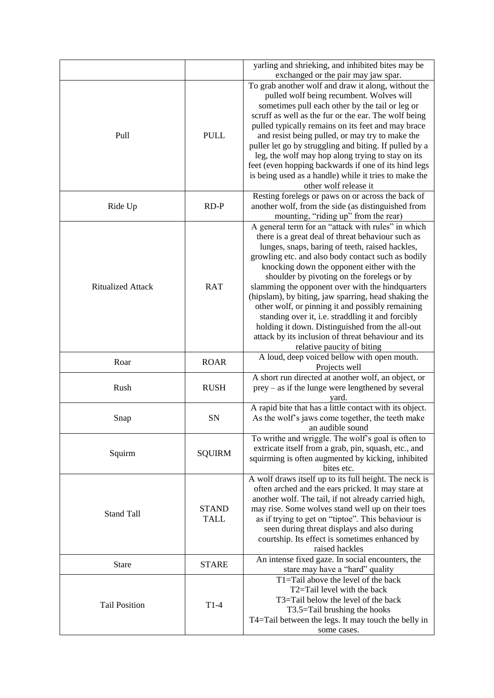|                          |               | yarling and shrieking, and inhibited bites may be                                                         |
|--------------------------|---------------|-----------------------------------------------------------------------------------------------------------|
|                          |               | exchanged or the pair may jaw spar.                                                                       |
|                          |               | To grab another wolf and draw it along, without the                                                       |
|                          |               | pulled wolf being recumbent. Wolves will                                                                  |
|                          |               | sometimes pull each other by the tail or leg or                                                           |
|                          |               | scruff as well as the fur or the ear. The wolf being                                                      |
| Pull                     | <b>PULL</b>   | pulled typically remains on its feet and may brace                                                        |
|                          |               | and resist being pulled, or may try to make the<br>puller let go by struggling and biting. If pulled by a |
|                          |               | leg, the wolf may hop along trying to stay on its                                                         |
|                          |               | feet (even hopping backwards if one of its hind legs                                                      |
|                          |               | is being used as a handle) while it tries to make the                                                     |
|                          |               | other wolf release it                                                                                     |
|                          |               | Resting forelegs or paws on or across the back of                                                         |
| Ride Up                  | $RD-P$        | another wolf, from the side (as distinguished from                                                        |
|                          |               | mounting, "riding up" from the rear)                                                                      |
|                          |               | A general term for an "attack with rules" in which                                                        |
|                          |               | there is a great deal of threat behaviour such as                                                         |
|                          |               | lunges, snaps, baring of teeth, raised hackles,                                                           |
|                          |               | growling etc. and also body contact such as bodily                                                        |
|                          |               | knocking down the opponent either with the                                                                |
|                          |               | shoulder by pivoting on the forelegs or by                                                                |
| <b>Ritualized Attack</b> | <b>RAT</b>    | slamming the opponent over with the hindquarters                                                          |
|                          |               | (hipslam), by biting, jaw sparring, head shaking the                                                      |
|                          |               | other wolf, or pinning it and possibly remaining                                                          |
|                          |               | standing over it, i.e. straddling it and forcibly                                                         |
|                          |               | holding it down. Distinguished from the all-out                                                           |
|                          |               | attack by its inclusion of threat behaviour and its                                                       |
|                          |               | relative paucity of biting                                                                                |
| Roar                     | <b>ROAR</b>   | A loud, deep voiced bellow with open mouth.                                                               |
|                          |               | Projects well                                                                                             |
|                          |               | A short run directed at another wolf, an object, or                                                       |
| Rush                     | <b>RUSH</b>   | $prey - as$ if the lunge were lengthened by several                                                       |
|                          |               | yard.<br>A rapid bite that has a little contact with its object.                                          |
| Snap                     | SN            | As the wolf's jaws come together, the teeth make                                                          |
|                          |               | an audible sound                                                                                          |
|                          |               | To writhe and wriggle. The wolf's goal is often to                                                        |
|                          |               | extricate itself from a grab, pin, squash, etc., and                                                      |
| Squirm                   | <b>SQUIRM</b> | squirming is often augmented by kicking, inhibited                                                        |
|                          |               | bites etc.                                                                                                |
|                          |               | A wolf draws itself up to its full height. The neck is                                                    |
|                          |               | often arched and the ears pricked. It may stare at                                                        |
|                          |               | another wolf. The tail, if not already carried high,                                                      |
|                          | <b>STAND</b>  | may rise. Some wolves stand well up on their toes                                                         |
| <b>Stand Tall</b>        | <b>TALL</b>   | as if trying to get on "tiptoe". This behaviour is                                                        |
|                          |               | seen during threat displays and also during                                                               |
|                          |               | courtship. Its effect is sometimes enhanced by                                                            |
|                          |               | raised hackles                                                                                            |
| <b>Stare</b>             | <b>STARE</b>  | An intense fixed gaze. In social encounters, the                                                          |
|                          |               | stare may have a "hard" quality                                                                           |
|                          |               | T1=Tail above the level of the back                                                                       |
|                          |               | T2=Tail level with the back                                                                               |
| <b>Tail Position</b>     | $T1-4$        | T3=Tail below the level of the back                                                                       |
|                          |               | T3.5=Tail brushing the hooks                                                                              |
|                          |               | T4=Tail between the legs. It may touch the belly in                                                       |
|                          |               | some cases.                                                                                               |